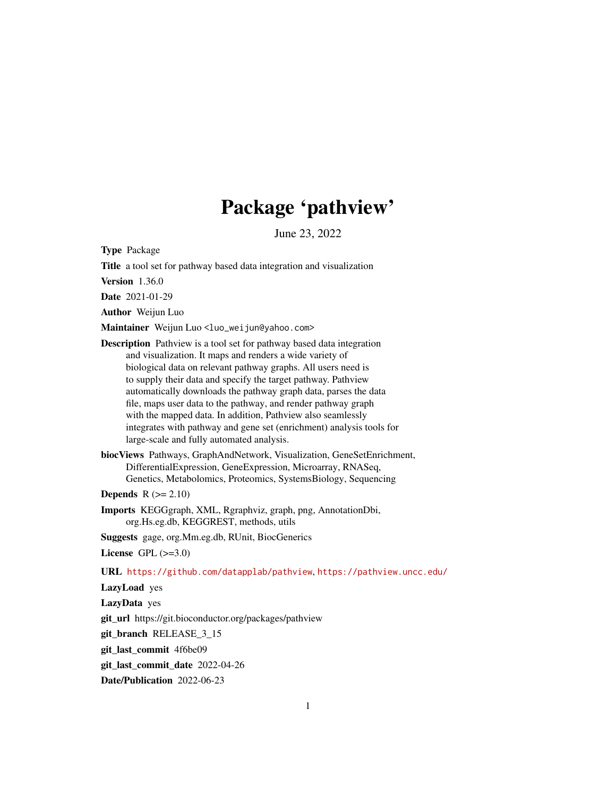# Package 'pathview'

June 23, 2022

Type Package

Title a tool set for pathway based data integration and visualization

Version 1.36.0

Date 2021-01-29

Author Weijun Luo

Maintainer Weijun Luo <luo\_weijun@yahoo.com>

Description Pathview is a tool set for pathway based data integration and visualization. It maps and renders a wide variety of biological data on relevant pathway graphs. All users need is to supply their data and specify the target pathway. Pathview automatically downloads the pathway graph data, parses the data file, maps user data to the pathway, and render pathway graph with the mapped data. In addition, Pathview also seamlessly integrates with pathway and gene set (enrichment) analysis tools for large-scale and fully automated analysis.

biocViews Pathways, GraphAndNetwork, Visualization, GeneSetEnrichment, DifferentialExpression, GeneExpression, Microarray, RNASeq, Genetics, Metabolomics, Proteomics, SystemsBiology, Sequencing

**Depends**  $R (= 2.10)$ 

Imports KEGGgraph, XML, Rgraphviz, graph, png, AnnotationDbi, org.Hs.eg.db, KEGGREST, methods, utils

Suggests gage, org.Mm.eg.db, RUnit, BiocGenerics

License GPL  $(>=3.0)$ 

URL <https://github.com/datapplab/pathview>, <https://pathview.uncc.edu/>

LazyLoad yes

LazyData yes

git\_url https://git.bioconductor.org/packages/pathview

git\_branch RELEASE\_3\_15

git\_last\_commit 4f6be09

git\_last\_commit\_date 2022-04-26

Date/Publication 2022-06-23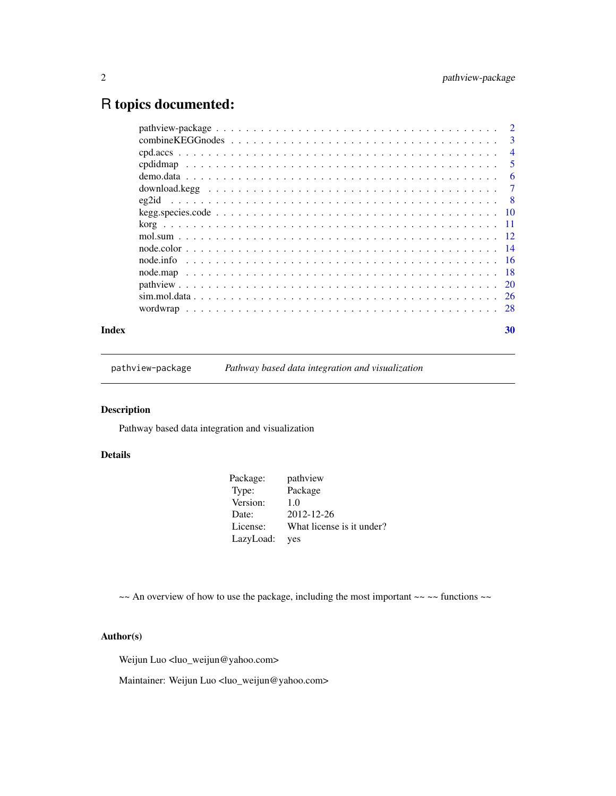## <span id="page-1-0"></span>R topics documented:

| Index | 30             |
|-------|----------------|
|       |                |
|       |                |
|       |                |
|       |                |
|       |                |
|       |                |
|       |                |
|       |                |
|       |                |
|       |                |
|       |                |
|       |                |
|       | $\overline{5}$ |
|       | $\overline{4}$ |
|       |                |
|       |                |

pathview-package *Pathway based data integration and visualization*

### Description

Pathway based data integration and visualization

### Details

| Package<br>Type:<br>Version:<br>1.0<br>2012-12-26<br>Date:<br>License:<br>LazyLoad:<br>ves | Package: | pathview                  |
|--------------------------------------------------------------------------------------------|----------|---------------------------|
|                                                                                            |          |                           |
|                                                                                            |          |                           |
|                                                                                            |          |                           |
|                                                                                            |          | What license is it under? |
|                                                                                            |          |                           |

 $\sim$  An overview of how to use the package, including the most important  $\sim$   $\sim$  functions  $\sim$ 

#### Author(s)

Weijun Luo <luo\_weijun@yahoo.com>

Maintainer: Weijun Luo <luo\_weijun@yahoo.com>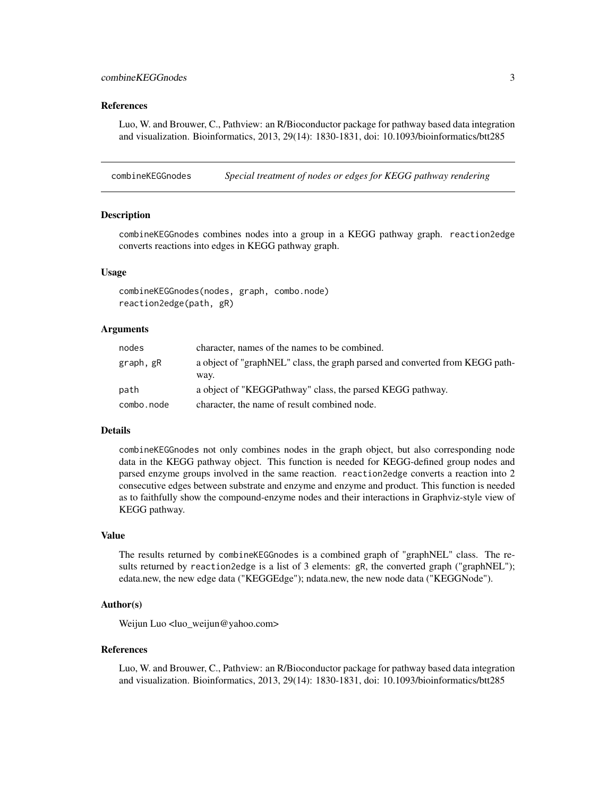#### <span id="page-2-0"></span>References

Luo, W. and Brouwer, C., Pathview: an R/Bioconductor package for pathway based data integration and visualization. Bioinformatics, 2013, 29(14): 1830-1831, doi: 10.1093/bioinformatics/btt285

<span id="page-2-1"></span>combineKEGGnodes *Special treatment of nodes or edges for KEGG pathway rendering*

#### <span id="page-2-2"></span>Description

combineKEGGnodes combines nodes into a group in a KEGG pathway graph. reaction2edge converts reactions into edges in KEGG pathway graph.

#### Usage

```
combineKEGGnodes(nodes, graph, combo.node)
reaction2edge(path, gR)
```
#### Arguments

| nodes      | character, names of the names to be combined.                                |
|------------|------------------------------------------------------------------------------|
| graph, gR  | a object of "graphNEL" class, the graph parsed and converted from KEGG path- |
| path       | way.<br>a object of "KEGGPathway" class, the parsed KEGG pathway.            |
| combo.node | character, the name of result combined node.                                 |

#### Details

combineKEGGnodes not only combines nodes in the graph object, but also corresponding node data in the KEGG pathway object. This function is needed for KEGG-defined group nodes and parsed enzyme groups involved in the same reaction. reaction2edge converts a reaction into 2 consecutive edges between substrate and enzyme and enzyme and product. This function is needed as to faithfully show the compound-enzyme nodes and their interactions in Graphviz-style view of KEGG pathway.

#### Value

The results returned by combineKEGGnodes is a combined graph of "graphNEL" class. The results returned by reaction2edge is a list of 3 elements:  $gR$ , the converted graph ("graphNEL"); edata.new, the new edge data ("KEGGEdge"); ndata.new, the new node data ("KEGGNode").

#### Author(s)

Weijun Luo <luo\_weijun@yahoo.com>

#### References

Luo, W. and Brouwer, C., Pathview: an R/Bioconductor package for pathway based data integration and visualization. Bioinformatics, 2013, 29(14): 1830-1831, doi: 10.1093/bioinformatics/btt285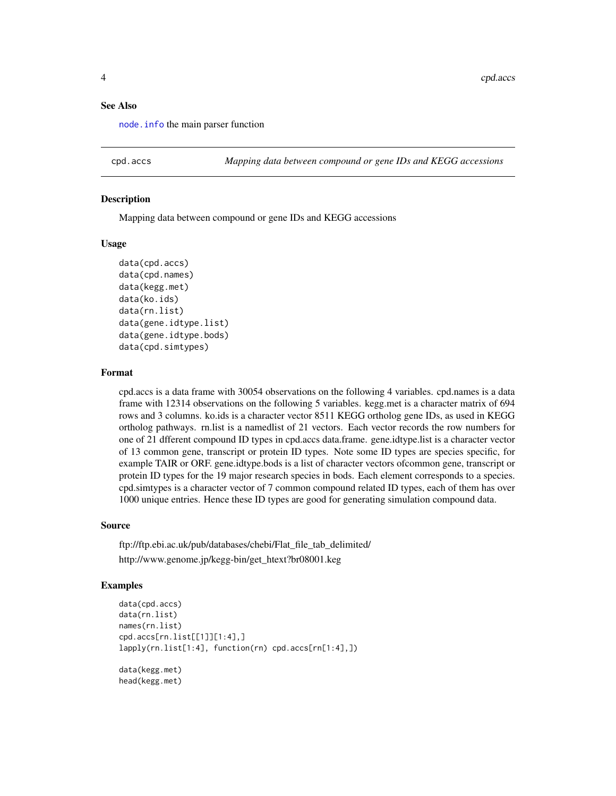#### See Also

[node.info](#page-15-1) the main parser function

cpd.accs *Mapping data between compound or gene IDs and KEGG accessions*

#### Description

Mapping data between compound or gene IDs and KEGG accessions

#### Usage

```
data(cpd.accs)
data(cpd.names)
data(kegg.met)
data(ko.ids)
data(rn.list)
data(gene.idtype.list)
data(gene.idtype.bods)
data(cpd.simtypes)
```
#### Format

cpd.accs is a data frame with 30054 observations on the following 4 variables. cpd.names is a data frame with 12314 observations on the following 5 variables. kegg.met is a character matrix of 694 rows and 3 columns. ko.ids is a character vector 8511 KEGG ortholog gene IDs, as used in KEGG ortholog pathways. rn.list is a namedlist of 21 vectors. Each vector records the row numbers for one of 21 dfferent compound ID types in cpd.accs data.frame. gene.idtype.list is a character vector of 13 common gene, transcript or protein ID types. Note some ID types are species specific, for example TAIR or ORF. gene.idtype.bods is a list of character vectors ofcommon gene, transcript or protein ID types for the 19 major research species in bods. Each element corresponds to a species. cpd.simtypes is a character vector of 7 common compound related ID types, each of them has over 1000 unique entries. Hence these ID types are good for generating simulation compound data.

#### Source

ftp://ftp.ebi.ac.uk/pub/databases/chebi/Flat\_file\_tab\_delimited/ http://www.genome.jp/kegg-bin/get\_htext?br08001.keg

#### Examples

```
data(cpd.accs)
data(rn.list)
names(rn.list)
cpd.accs[rn.list[[1]][1:4],]
lapply(rn.list[1:4], function(rn) cpd.accs[rn[1:4],])
data(kegg.met)
head(kegg.met)
```
<span id="page-3-0"></span>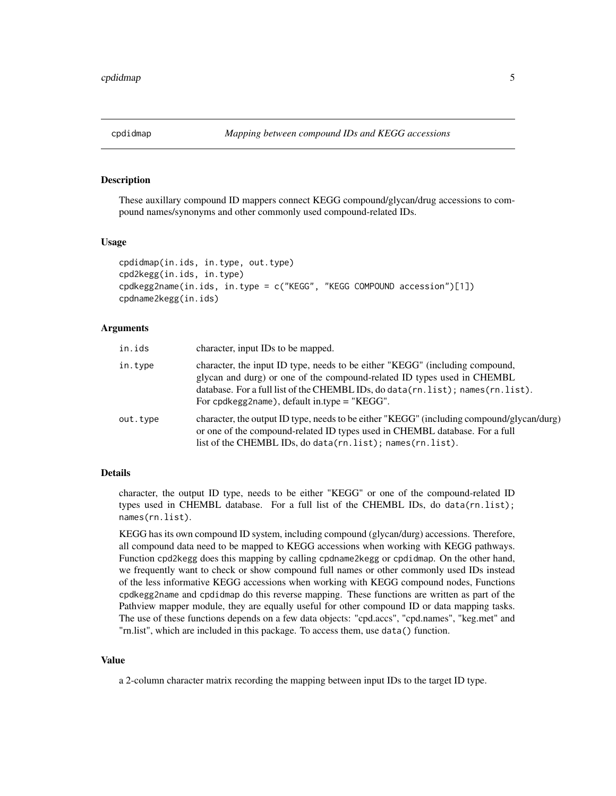<span id="page-4-0"></span>

#### <span id="page-4-1"></span>Description

These auxillary compound ID mappers connect KEGG compound/glycan/drug accessions to compound names/synonyms and other commonly used compound-related IDs.

#### Usage

```
cpdidmap(in.ids, in.type, out.type)
cpd2kegg(in.ids, in.type)
cpdkegg2name(in.ids, in.type = c("KEGG", "KEGG COMPOUND accession")[1])
cpdname2kegg(in.ids)
```
#### Arguments

| in.ids   | character, input IDs to be mapped.                                                                                                                                                                                                                                                                  |
|----------|-----------------------------------------------------------------------------------------------------------------------------------------------------------------------------------------------------------------------------------------------------------------------------------------------------|
| in.type  | character, the input ID type, needs to be either "KEGG" (including compound,<br>glycan and durg) or one of the compound-related ID types used in CHEMBL<br>database. For a full list of the CHEMBL IDs, do data $(rn.list)$ ; names $(rn.list)$ .<br>For cpdkegg2name), default in type $=$ "KEGG". |
| out.type | character, the output ID type, needs to be either "KEGG" (including compound/glycan/durg)<br>or one of the compound-related ID types used in CHEMBL database. For a full<br>list of the CHEMBL IDs, do data(rn.list); names(rn.list).                                                               |

#### Details

character, the output ID type, needs to be either "KEGG" or one of the compound-related ID types used in CHEMBL database. For a full list of the CHEMBL IDs, do data(rn.list); names(rn.list).

KEGG has its own compound ID system, including compound (glycan/durg) accessions. Therefore, all compound data need to be mapped to KEGG accessions when working with KEGG pathways. Function cpd2kegg does this mapping by calling cpdname2kegg or cpdidmap. On the other hand, we frequently want to check or show compound full names or other commonly used IDs instead of the less informative KEGG accessions when working with KEGG compound nodes, Functions cpdkegg2name and cpdidmap do this reverse mapping. These functions are written as part of the Pathview mapper module, they are equally useful for other compound ID or data mapping tasks. The use of these functions depends on a few data objects: "cpd.accs", "cpd.names", "keg.met" and "rn.list", which are included in this package. To access them, use data() function.

#### Value

a 2-column character matrix recording the mapping between input IDs to the target ID type.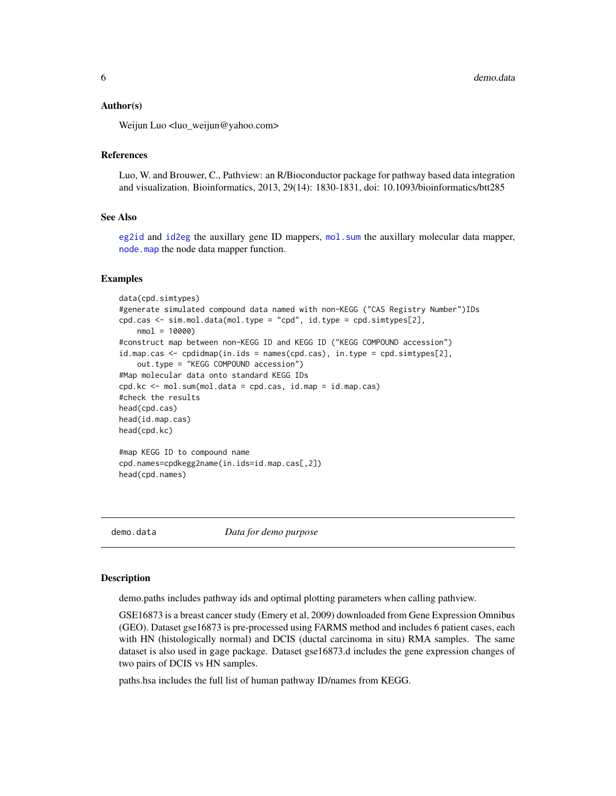#### <span id="page-5-0"></span>Author(s)

Weijun Luo <luo\_weijun@yahoo.com>

#### References

Luo, W. and Brouwer, C., Pathview: an R/Bioconductor package for pathway based data integration and visualization. Bioinformatics, 2013, 29(14): 1830-1831, doi: 10.1093/bioinformatics/btt285

#### See Also

[eg2id](#page-7-1) and [id2eg](#page-7-2) the auxillary gene ID mappers, [mol.sum](#page-11-1) the auxillary molecular data mapper, [node.map](#page-17-1) the node data mapper function.

#### Examples

```
data(cpd.simtypes)
#generate simulated compound data named with non-KEGG ("CAS Registry Number")IDs
cpd.cas <- sim.mol.data(mol.type = "cpd", id.type = cpd.simtypes[2],
   nmol = 10000)
#construct map between non-KEGG ID and KEGG ID ("KEGG COMPOUND accession")
id.map.cas <- cpdidmap(in.ids = names(cpd.cas), in.type = cpd.simtypes[2],
   out.type = "KEGG COMPOUND accession")
#Map molecular data onto standard KEGG IDs
cpd.kc <- mol.sum(mol.data = cpd.cas, id.map = id.map.cas)
#check the results
head(cpd.cas)
head(id.map.cas)
head(cpd.kc)
#map KEGG ID to compound name
cpd.names=cpdkegg2name(in.ids=id.map.cas[,2])
```
head(cpd.names)

demo.data *Data for demo purpose*

#### **Description**

demo.paths includes pathway ids and optimal plotting parameters when calling pathview.

GSE16873 is a breast cancer study (Emery et al, 2009) downloaded from Gene Expression Omnibus (GEO). Dataset gse16873 is pre-processed using FARMS method and includes 6 patient cases, each with HN (histologically normal) and DCIS (ductal carcinoma in situ) RMA samples. The same dataset is also used in gage package. Dataset gse16873.d includes the gene expression changes of two pairs of DCIS vs HN samples.

paths.hsa includes the full list of human pathway ID/names from KEGG.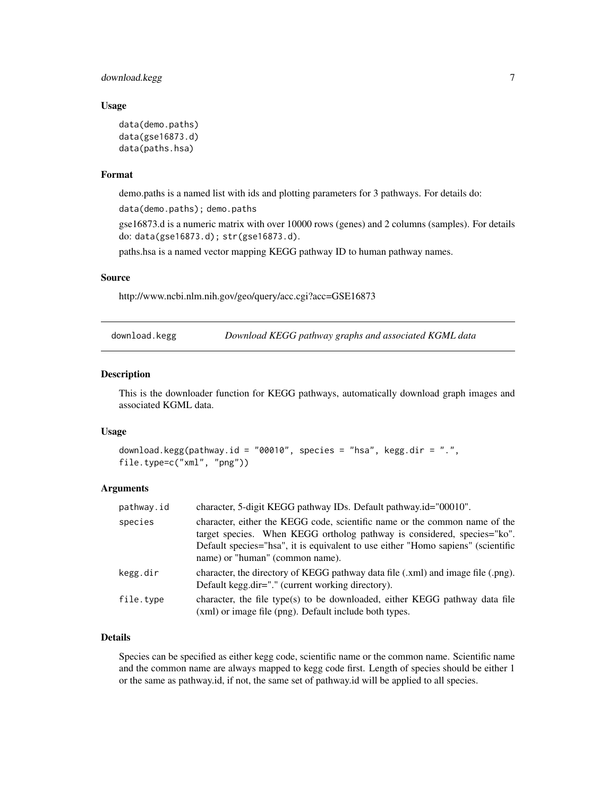#### <span id="page-6-0"></span>download.kegg 7

#### Usage

```
data(demo.paths)
data(gse16873.d)
data(paths.hsa)
```
#### Format

demo.paths is a named list with ids and plotting parameters for 3 pathways. For details do: data(demo.paths); demo.paths

gse16873.d is a numeric matrix with over 10000 rows (genes) and 2 columns (samples). For details do: data(gse16873.d); str(gse16873.d).

paths.hsa is a named vector mapping KEGG pathway ID to human pathway names.

#### Source

http://www.ncbi.nlm.nih.gov/geo/query/acc.cgi?acc=GSE16873

<span id="page-6-1"></span>download.kegg *Download KEGG pathway graphs and associated KGML data*

#### Description

This is the downloader function for KEGG pathways, automatically download graph images and associated KGML data.

#### Usage

```
download.kegg(pathway.id = "00010", species = "hsa", kegg.dir = ".",
file.type=c("xml", "png"))
```
#### Arguments

| pathway.id | character, 5-digit KEGG pathway IDs. Default pathway.id="00010".                                                                                                                                                                                                             |
|------------|------------------------------------------------------------------------------------------------------------------------------------------------------------------------------------------------------------------------------------------------------------------------------|
| species    | character, either the KEGG code, scientific name or the common name of the<br>target species. When KEGG ortholog pathway is considered, species="ko".<br>Default species="hsa", it is equivalent to use either "Homo sapiens" (scientific<br>name) or "human" (common name). |
| kegg.dir   | character, the directory of KEGG pathway data file (.xml) and image file (.png).<br>Default kegg.dir="." (current working directory).                                                                                                                                        |
| file.type  | character, the file type(s) to be downloaded, either KEGG pathway data file<br>(xml) or image file (png). Default include both types.                                                                                                                                        |

#### Details

Species can be specified as either kegg code, scientific name or the common name. Scientific name and the common name are always mapped to kegg code first. Length of species should be either 1 or the same as pathway.id, if not, the same set of pathway.id will be applied to all species.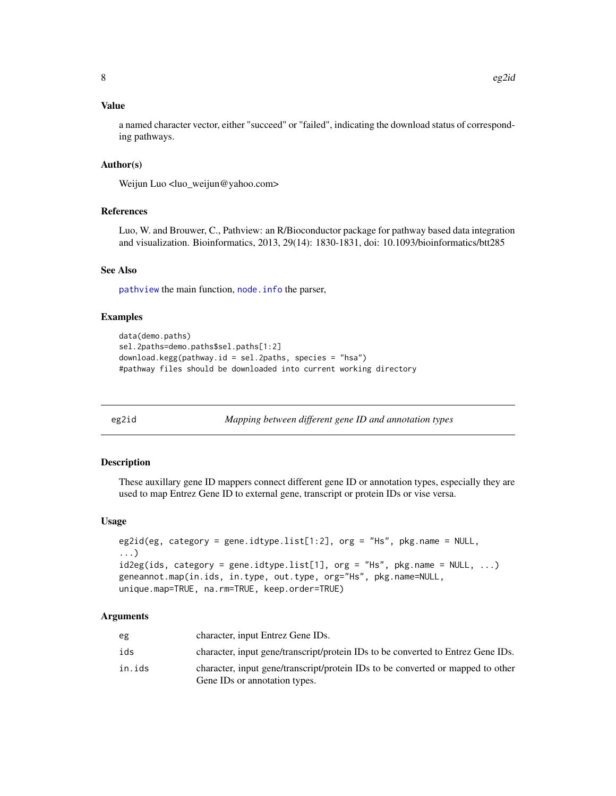#### <span id="page-7-0"></span>Value

a named character vector, either "succeed" or "failed", indicating the download status of corresponding pathways.

#### Author(s)

Weijun Luo <luo\_weijun@yahoo.com>

#### References

Luo, W. and Brouwer, C., Pathview: an R/Bioconductor package for pathway based data integration and visualization. Bioinformatics, 2013, 29(14): 1830-1831, doi: 10.1093/bioinformatics/btt285

#### See Also

[pathview](#page-19-1) the main function, [node.info](#page-15-1) the parser,

#### Examples

```
data(demo.paths)
sel.2paths=demo.paths$sel.paths[1:2]
download.kegg(pathway.id = sel.2paths, species = "hsa")
#pathway files should be downloaded into current working directory
```
<span id="page-7-1"></span>

eg2id *Mapping between different gene ID and annotation types*

#### <span id="page-7-2"></span>Description

These auxillary gene ID mappers connect different gene ID or annotation types, especially they are used to map Entrez Gene ID to external gene, transcript or protein IDs or vise versa.

#### Usage

```
eg2id(eg, category = gene.idtype.list[1:2], org = "Hs", pkg.name = NULL,
...)
id2eg(id, category = gene.idtype.list[1], org = "Hs", pkg.name = NULL, ...)geneannot.map(in.ids, in.type, out.type, org="Hs", pkg.name=NULL,
unique.map=TRUE, na.rm=TRUE, keep.order=TRUE)
```
#### Arguments

| eg     | character, input Entrez Gene IDs.                                                                                |
|--------|------------------------------------------------------------------------------------------------------------------|
| ids    | character, input gene/transcript/protein IDs to be converted to Entrez Gene IDs.                                 |
| in.ids | character, input gene/transcript/protein IDs to be converted or mapped to other<br>Gene IDs or annotation types. |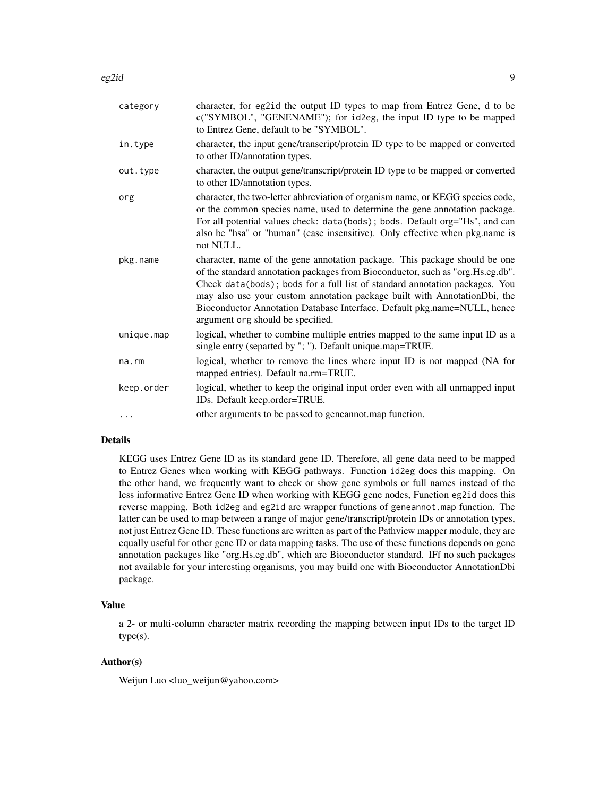| category   | character, for eg2id the output ID types to map from Entrez Gene, d to be<br>c("SYMBOL", "GENENAME"); for id2eg, the input ID type to be mapped<br>to Entrez Gene, default to be "SYMBOL".                                                                                                                                                                                                                                                 |
|------------|--------------------------------------------------------------------------------------------------------------------------------------------------------------------------------------------------------------------------------------------------------------------------------------------------------------------------------------------------------------------------------------------------------------------------------------------|
| in.type    | character, the input gene/transcript/protein ID type to be mapped or converted<br>to other ID/annotation types.                                                                                                                                                                                                                                                                                                                            |
| out.type   | character, the output gene/transcript/protein ID type to be mapped or converted<br>to other ID/annotation types.                                                                                                                                                                                                                                                                                                                           |
| org        | character, the two-letter abbreviation of organism name, or KEGG species code,<br>or the common species name, used to determine the gene annotation package.<br>For all potential values check: data(bods); bods. Default org="Hs", and can<br>also be "hsa" or "human" (case insensitive). Only effective when pkg.name is<br>not NULL.                                                                                                   |
| pkg.name   | character, name of the gene annotation package. This package should be one<br>of the standard annotation packages from Bioconductor, such as "org. Hs.eg.db".<br>Check data(bods); bods for a full list of standard annotation packages. You<br>may also use your custom annotation package built with AnnotationDbi, the<br>Bioconductor Annotation Database Interface. Default pkg.name=NULL, hence<br>argument org should be specified. |
| unique.map | logical, whether to combine multiple entries mapped to the same input ID as a<br>single entry (separted by "; "). Default unique.map=TRUE.                                                                                                                                                                                                                                                                                                 |
| na.rm      | logical, whether to remove the lines where input ID is not mapped (NA for<br>mapped entries). Default na.rm=TRUE.                                                                                                                                                                                                                                                                                                                          |
| keep.order | logical, whether to keep the original input order even with all unmapped input<br>IDs. Default keep.order=TRUE.                                                                                                                                                                                                                                                                                                                            |
| .          | other arguments to be passed to geneannot.map function.                                                                                                                                                                                                                                                                                                                                                                                    |

#### Details

KEGG uses Entrez Gene ID as its standard gene ID. Therefore, all gene data need to be mapped to Entrez Genes when working with KEGG pathways. Function id2eg does this mapping. On the other hand, we frequently want to check or show gene symbols or full names instead of the less informative Entrez Gene ID when working with KEGG gene nodes, Function eg2id does this reverse mapping. Both id2eg and eg2id are wrapper functions of geneannot.map function. The latter can be used to map between a range of major gene/transcript/protein IDs or annotation types, not just Entrez Gene ID. These functions are written as part of the Pathview mapper module, they are equally useful for other gene ID or data mapping tasks. The use of these functions depends on gene annotation packages like "org.Hs.eg.db", which are Bioconductor standard. IFf no such packages not available for your interesting organisms, you may build one with Bioconductor AnnotationDbi package.

#### Value

a 2- or multi-column character matrix recording the mapping between input IDs to the target ID type(s).

#### Author(s)

Weijun Luo <luo\_weijun@yahoo.com>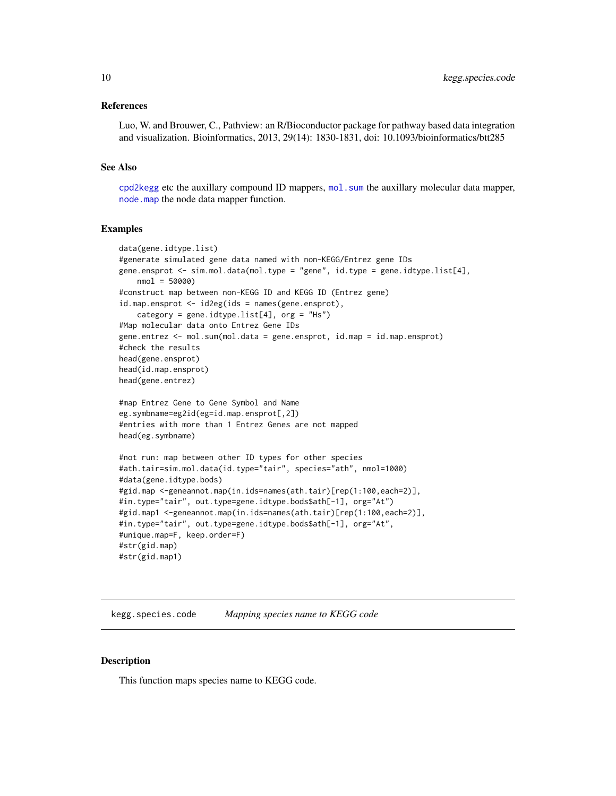#### <span id="page-9-0"></span>References

Luo, W. and Brouwer, C., Pathview: an R/Bioconductor package for pathway based data integration and visualization. Bioinformatics, 2013, 29(14): 1830-1831, doi: 10.1093/bioinformatics/btt285

#### See Also

[cpd2kegg](#page-4-1) etc the auxillary compound ID mappers, [mol.sum](#page-11-1) the auxillary molecular data mapper, [node.map](#page-17-1) the node data mapper function.

#### Examples

```
data(gene.idtype.list)
#generate simulated gene data named with non-KEGG/Entrez gene IDs
gene.ensprot <- sim.mol.data(mol.type = "gene", id.type = gene.idtype.list[4],
   nmol = 50000)
#construct map between non-KEGG ID and KEGG ID (Entrez gene)
id.map.ensprot <- id2eg(ids = names(gene.ensprot),
    category = gene.idtype.list[4], org = "Hs")
#Map molecular data onto Entrez Gene IDs
gene.entrez <- mol.sum(mol.data = gene.ensprot, id.map = id.map.ensprot)
#check the results
head(gene.ensprot)
head(id.map.ensprot)
head(gene.entrez)
#map Entrez Gene to Gene Symbol and Name
eg.symbname=eg2id(eg=id.map.ensprot[,2])
#entries with more than 1 Entrez Genes are not mapped
head(eg.symbname)
#not run: map between other ID types for other species
#ath.tair=sim.mol.data(id.type="tair", species="ath", nmol=1000)
#data(gene.idtype.bods)
#gid.map <-geneannot.map(in.ids=names(ath.tair)[rep(1:100,each=2)],
#in.type="tair", out.type=gene.idtype.bods$ath[-1], org="At")
#gid.map1 <-geneannot.map(in.ids=names(ath.tair)[rep(1:100,each=2)],
#in.type="tair", out.type=gene.idtype.bods$ath[-1], org="At",
#unique.map=F, keep.order=F)
#str(gid.map)
#str(gid.map1)
```
kegg.species.code *Mapping species name to KEGG code*

#### Description

This function maps species name to KEGG code.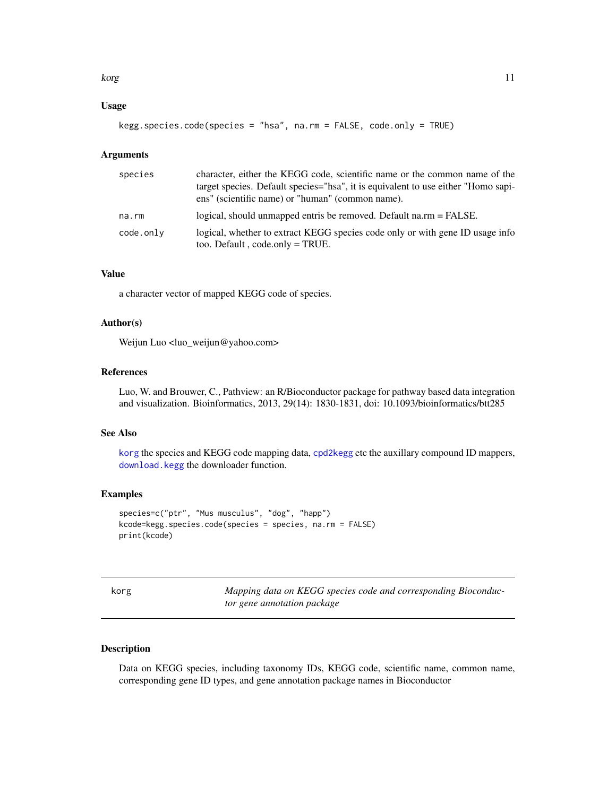#### <span id="page-10-0"></span>korg tidak korga kontrollerin adalah sebagai dan kerajaan dan kerajaan dan kerajaan dan kerajaan dan kerajaan <br>Perangan dan kerajaan dalam kerajaan dalam kerajaan dalam kerajaan dalam kerajaan dalam kerajaan dalam kerajaa

#### Usage

kegg.species.code(species = "hsa", na.rm = FALSE, code.only = TRUE)

#### Arguments

| species   | character, either the KEGG code, scientific name or the common name of the<br>target species. Default species="hsa", it is equivalent to use either "Homo sapi- |
|-----------|-----------------------------------------------------------------------------------------------------------------------------------------------------------------|
|           | ens" (scientific name) or "human" (common name).                                                                                                                |
| na.rm     | logical, should unmapped entris be removed. Default na.rm = FALSE.                                                                                              |
| code.only | logical, whether to extract KEGG species code only or with gene ID usage info<br>too. Default, code.only = TRUE.                                                |

#### Value

a character vector of mapped KEGG code of species.

#### Author(s)

Weijun Luo <luo\_weijun@yahoo.com>

#### References

Luo, W. and Brouwer, C., Pathview: an R/Bioconductor package for pathway based data integration and visualization. Bioinformatics, 2013, 29(14): 1830-1831, doi: 10.1093/bioinformatics/btt285

#### See Also

[korg](#page-10-1) the species and KEGG code mapping data, [cpd2kegg](#page-4-1) etc the auxillary compound ID mappers, [download.kegg](#page-6-1) the downloader function.

#### Examples

```
species=c("ptr", "Mus musculus", "dog", "happ")
kcode=kegg.species.code(species = species, na.rm = FALSE)
print(kcode)
```
<span id="page-10-1"></span>

Mapping data on KEGG species code and corresponding Bioconduc*tor gene annotation package*

#### Description

Data on KEGG species, including taxonomy IDs, KEGG code, scientific name, common name, corresponding gene ID types, and gene annotation package names in Bioconductor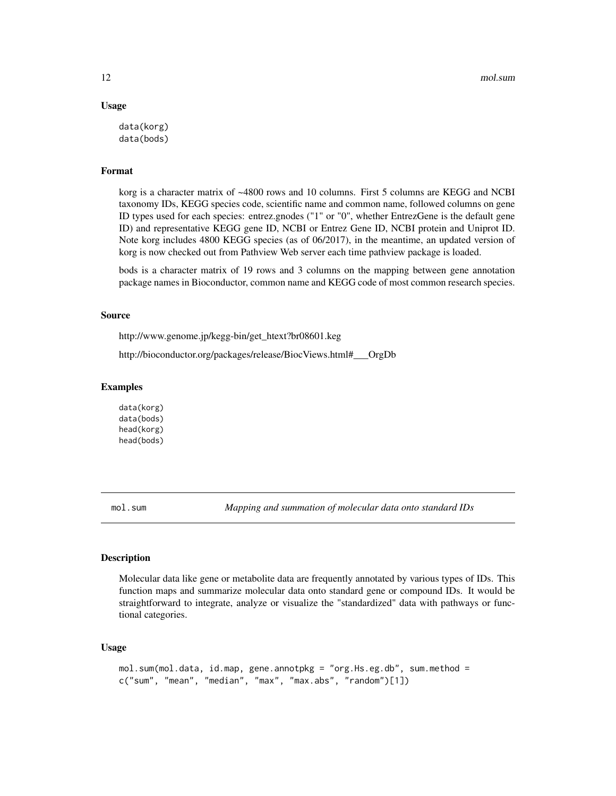#### Usage

```
data(korg)
data(bods)
```
#### Format

korg is a character matrix of ~4800 rows and 10 columns. First 5 columns are KEGG and NCBI taxonomy IDs, KEGG species code, scientific name and common name, followed columns on gene ID types used for each species: entrez.gnodes ("1" or "0", whether EntrezGene is the default gene ID) and representative KEGG gene ID, NCBI or Entrez Gene ID, NCBI protein and Uniprot ID. Note korg includes 4800 KEGG species (as of 06/2017), in the meantime, an updated version of korg is now checked out from Pathview Web server each time pathview package is loaded.

bods is a character matrix of 19 rows and 3 columns on the mapping between gene annotation package names in Bioconductor, common name and KEGG code of most common research species.

#### Source

http://www.genome.jp/kegg-bin/get\_htext?br08601.keg

http://bioconductor.org/packages/release/BiocViews.html#\_\_\_OrgDb

#### Examples

data(korg) data(bods) head(korg) head(bods)

<span id="page-11-1"></span>mol.sum *Mapping and summation of molecular data onto standard IDs*

#### **Description**

Molecular data like gene or metabolite data are frequently annotated by various types of IDs. This function maps and summarize molecular data onto standard gene or compound IDs. It would be straightforward to integrate, analyze or visualize the "standardized" data with pathways or functional categories.

#### Usage

```
mol.sum(mol.data, id.map, gene.annotpkg = "org.Hs.eg.db", sum.method =
c("sum", "mean", "median", "max", "max.abs", "random")[1])
```
<span id="page-11-0"></span>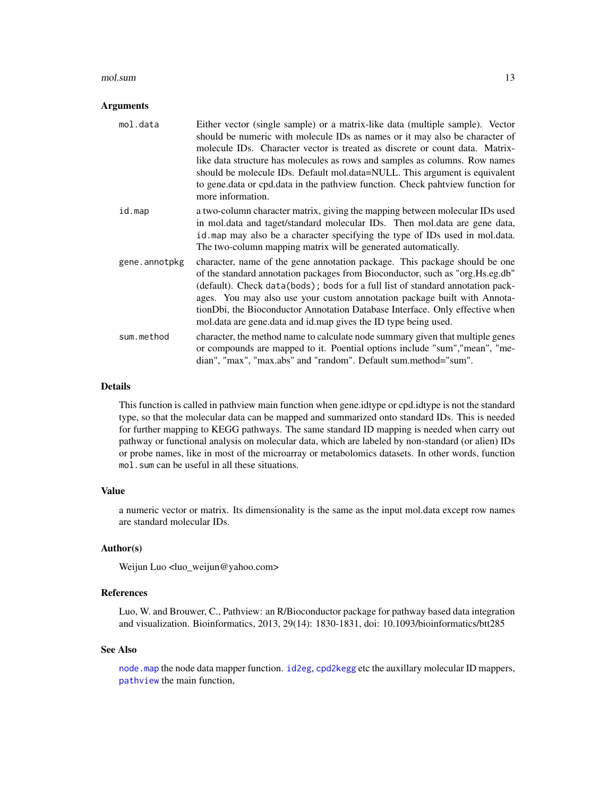#### <span id="page-12-0"></span>mol.sum and the contract of the contract of the contract of the contract of the contract of the contract of the contract of the contract of the contract of the contract of the contract of the contract of the contract of th

#### Arguments

| mol.data      | Either vector (single sample) or a matrix-like data (multiple sample). Vector<br>should be numeric with molecule IDs as names or it may also be character of<br>molecule IDs. Character vector is treated as discrete or count data. Matrix-<br>like data structure has molecules as rows and samples as columns. Row names<br>should be molecule IDs. Default mol.data=NULL. This argument is equivalent<br>to gene.data or cpd.data in the pathview function. Check pahtview function for<br>more information. |
|---------------|------------------------------------------------------------------------------------------------------------------------------------------------------------------------------------------------------------------------------------------------------------------------------------------------------------------------------------------------------------------------------------------------------------------------------------------------------------------------------------------------------------------|
| id.map        | a two-column character matrix, giving the mapping between molecular IDs used<br>in mol. data and taget/standard molecular IDs. Then mol. data are gene data,<br>id. map may also be a character specifying the type of IDs used in mol.data.<br>The two-column mapping matrix will be generated automatically.                                                                                                                                                                                                   |
| gene.annotpkg | character, name of the gene annotation package. This package should be one<br>of the standard annotation packages from Bioconductor, such as "org. Hs.eg.db"<br>(default). Check data(bods); bods for a full list of standard annotation pack-<br>ages. You may also use your custom annotation package built with Annota-<br>tionDbi, the Bioconductor Annotation Database Interface. Only effective when<br>mol. data are gene. data and id. map gives the ID type being used.                                 |
| sum.method    | character, the method name to calculate node summary given that multiple genes<br>or compounds are mapped to it. Poential options include "sum", "mean", "me-<br>dian", "max", "max.abs" and "random". Default sum.method="sum".                                                                                                                                                                                                                                                                                 |

#### Details

This function is called in pathview main function when gene.idtype or cpd.idtype is not the standard type, so that the molecular data can be mapped and summarized onto standard IDs. This is needed for further mapping to KEGG pathways. The same standard ID mapping is needed when carry out pathway or functional analysis on molecular data, which are labeled by non-standard (or alien) IDs or probe names, like in most of the microarray or metabolomics datasets. In other words, function mol.sum can be useful in all these situations.

#### Value

a numeric vector or matrix. Its dimensionality is the same as the input mol.data except row names are standard molecular IDs.

#### Author(s)

Weijun Luo <luo\_weijun@yahoo.com>

#### References

Luo, W. and Brouwer, C., Pathview: an R/Bioconductor package for pathway based data integration and visualization. Bioinformatics, 2013, 29(14): 1830-1831, doi: 10.1093/bioinformatics/btt285

#### See Also

[node.map](#page-17-1) the node data mapper function. [id2eg](#page-7-2), [cpd2kegg](#page-4-1) etc the auxillary molecular ID mappers, [pathview](#page-19-1) the main function,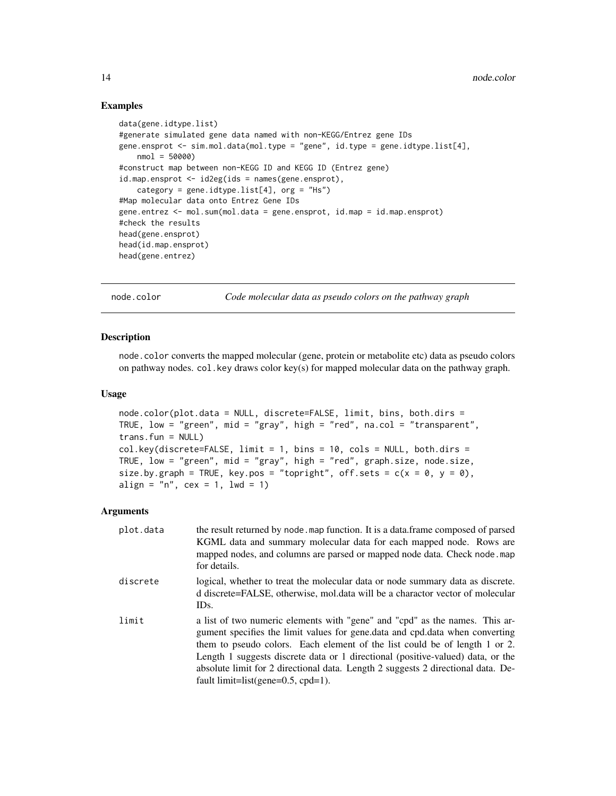#### Examples

```
data(gene.idtype.list)
#generate simulated gene data named with non-KEGG/Entrez gene IDs
gene.ensprot <- sim.mol.data(mol.type = "gene", id.type = gene.idtype.list[4],
   nmol = 50000#construct map between non-KEGG ID and KEGG ID (Entrez gene)
id.map.ensprot <- id2eg(ids = names(gene.ensprot),
    category = gene.idtype.list[4], org = "Hs")
#Map molecular data onto Entrez Gene IDs
gene.entrez <- mol.sum(mol.data = gene.ensprot, id.map = id.map.ensprot)
#check the results
head(gene.ensprot)
head(id.map.ensprot)
head(gene.entrez)
```
<span id="page-13-1"></span>node.color *Code molecular data as pseudo colors on the pathway graph*

#### Description

node.color converts the mapped molecular (gene, protein or metabolite etc) data as pseudo colors on pathway nodes.  $col$ . key draws color key(s) for mapped molecular data on the pathway graph.

#### Usage

```
node.color(plot.data = NULL, discrete=FALSE, limit, bins, both.dirs =
TRUE, low = "green", mid = "gray", high = "red", na.col = "transparent",
trans.fun = NULL)col.key(discrete=FALSE, limit = 1, bins = 10, cols = NULL, both.dirs =
TRUE, low = "green", mid = "gray", high = "red", graph.size, node.size,
size.by.graph = TRUE, key.pos = "topright", off.sets = c(x = 0, y = 0),
align = "n", cex = 1, lwd = 1)
```
#### Arguments

| plot.data | the result returned by node map function. It is a data frame composed of parsed<br>KGML data and summary molecular data for each mapped node. Rows are<br>mapped nodes, and columns are parsed or mapped node data. Check node map<br>for details.                                                                                                                                                                                                             |
|-----------|----------------------------------------------------------------------------------------------------------------------------------------------------------------------------------------------------------------------------------------------------------------------------------------------------------------------------------------------------------------------------------------------------------------------------------------------------------------|
| discrete  | logical, whether to treat the molecular data or node summary data as discrete.<br>d discrete=FALSE, otherwise, mol.data will be a charactor vector of molecular<br>ID <sub>s</sub> .                                                                                                                                                                                                                                                                           |
| limit     | a list of two numeric elements with "gene" and "cpd" as the names. This ar-<br>gument specifies the limit values for gene.data and cpd.data when converting<br>them to pseudo colors. Each element of the list could be of length 1 or 2.<br>Length 1 suggests discrete data or 1 directional (positive-valued) data, or the<br>absolute limit for 2 directional data. Length 2 suggests 2 directional data. De-<br>fault limit=list(gene= $0.5$ , cpd= $1$ ). |

<span id="page-13-0"></span>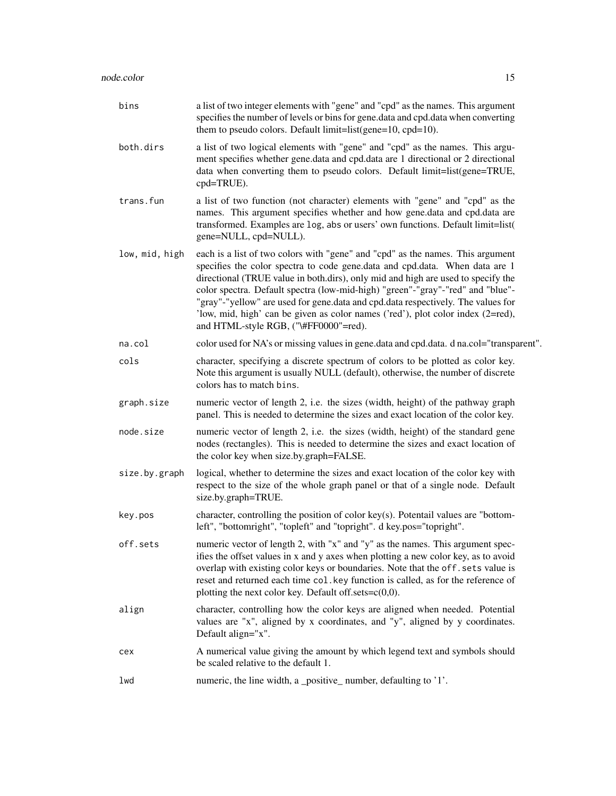| bins           | a list of two integer elements with "gene" and "cpd" as the names. This argument<br>specifies the number of levels or bins for gene.data and cpd.data when converting<br>them to pseudo colors. Default limit=list(gene=10, cpd=10).                                                                                                                                                                                                                                                                                                                |
|----------------|-----------------------------------------------------------------------------------------------------------------------------------------------------------------------------------------------------------------------------------------------------------------------------------------------------------------------------------------------------------------------------------------------------------------------------------------------------------------------------------------------------------------------------------------------------|
| both.dirs      | a list of two logical elements with "gene" and "cpd" as the names. This argu-<br>ment specifies whether gene.data and cpd.data are 1 directional or 2 directional<br>data when converting them to pseudo colors. Default limit=list(gene=TRUE,<br>cpd=TRUE).                                                                                                                                                                                                                                                                                        |
| trans.fun      | a list of two function (not character) elements with "gene" and "cpd" as the<br>names. This argument specifies whether and how gene.data and cpd.data are<br>transformed. Examples are log, abs or users' own functions. Default limit=list(<br>gene=NULL, cpd=NULL).                                                                                                                                                                                                                                                                               |
| low, mid, high | each is a list of two colors with "gene" and "cpd" as the names. This argument<br>specifies the color spectra to code gene.data and cpd.data. When data are 1<br>directional (TRUE value in both.dirs), only mid and high are used to specify the<br>color spectra. Default spectra (low-mid-high) "green"-"gray"-"red" and "blue"-<br>"gray"-"yellow" are used for gene.data and cpd.data respectively. The values for<br>'low, mid, high' can be given as color names ('red'), plot color index (2=red),<br>and HTML-style RGB, ("\#FF0000"=red). |
| na.col         | color used for NA's or missing values in gene.data and cpd.data. d na.col="transparent".                                                                                                                                                                                                                                                                                                                                                                                                                                                            |
| cols           | character, specifying a discrete spectrum of colors to be plotted as color key.<br>Note this argument is usually NULL (default), otherwise, the number of discrete<br>colors has to match bins.                                                                                                                                                                                                                                                                                                                                                     |
| graph.size     | numeric vector of length 2, i.e. the sizes (width, height) of the pathway graph<br>panel. This is needed to determine the sizes and exact location of the color key.                                                                                                                                                                                                                                                                                                                                                                                |
| node.size      | numeric vector of length 2, i.e. the sizes (width, height) of the standard gene<br>nodes (rectangles). This is needed to determine the sizes and exact location of<br>the color key when size.by.graph=FALSE.                                                                                                                                                                                                                                                                                                                                       |
| size.by.graph  | logical, whether to determine the sizes and exact location of the color key with<br>respect to the size of the whole graph panel or that of a single node. Default<br>size.by.graph=TRUE.                                                                                                                                                                                                                                                                                                                                                           |
| key.pos        | character, controlling the position of color key(s). Potentail values are "bottom-<br>left", "bottomright", "topleft" and "topright". d key.pos="topright".                                                                                                                                                                                                                                                                                                                                                                                         |
| off.sets       | numeric vector of length 2, with "x" and "y" as the names. This argument spec-<br>ifies the offset values in x and y axes when plotting a new color key, as to avoid<br>overlap with existing color keys or boundaries. Note that the off. sets value is<br>reset and returned each time col. key function is called, as for the reference of<br>plotting the next color key. Default off.sets= $c(0,0)$ .                                                                                                                                          |
| align          | character, controlling how the color keys are aligned when needed. Potential<br>values are "x", aligned by x coordinates, and "y", aligned by y coordinates.<br>Default align="x".                                                                                                                                                                                                                                                                                                                                                                  |
| cex            | A numerical value giving the amount by which legend text and symbols should<br>be scaled relative to the default 1.                                                                                                                                                                                                                                                                                                                                                                                                                                 |
| lwd            | numeric, the line width, a _positive_ number, defaulting to '1'.                                                                                                                                                                                                                                                                                                                                                                                                                                                                                    |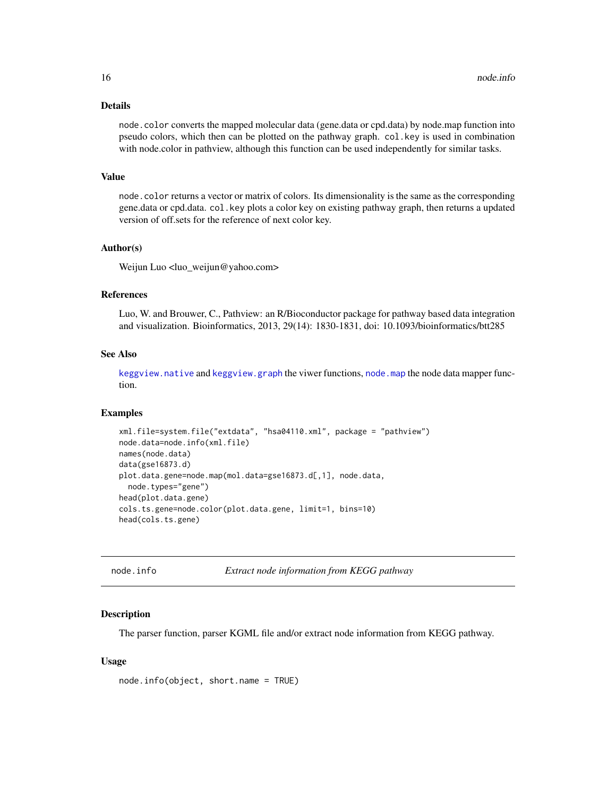#### <span id="page-15-0"></span>Details

node.color converts the mapped molecular data (gene.data or cpd.data) by node.map function into pseudo colors, which then can be plotted on the pathway graph. col.key is used in combination with node.color in pathview, although this function can be used independently for similar tasks.

#### Value

node.color returns a vector or matrix of colors. Its dimensionality is the same as the corresponding gene.data or cpd.data. col.key plots a color key on existing pathway graph, then returns a updated version of off.sets for the reference of next color key.

#### Author(s)

Weijun Luo <luo\_weijun@yahoo.com>

#### References

Luo, W. and Brouwer, C., Pathview: an R/Bioconductor package for pathway based data integration and visualization. Bioinformatics, 2013, 29(14): 1830-1831, doi: 10.1093/bioinformatics/btt285

#### See Also

[keggview.native](#page-19-2) and [keggview.graph](#page-19-2) the viwer functions, [node.map](#page-17-1) the node data mapper function.

#### Examples

```
xml.file=system.file("extdata", "hsa04110.xml", package = "pathview")
node.data=node.info(xml.file)
names(node.data)
data(gse16873.d)
plot.data.gene=node.map(mol.data=gse16873.d[,1], node.data,
 node.types="gene")
head(plot.data.gene)
cols.ts.gene=node.color(plot.data.gene, limit=1, bins=10)
head(cols.ts.gene)
```
<span id="page-15-1"></span>

```
node.info Extract node information from KEGG pathway
```
#### **Description**

The parser function, parser KGML file and/or extract node information from KEGG pathway.

#### Usage

node.info(object, short.name = TRUE)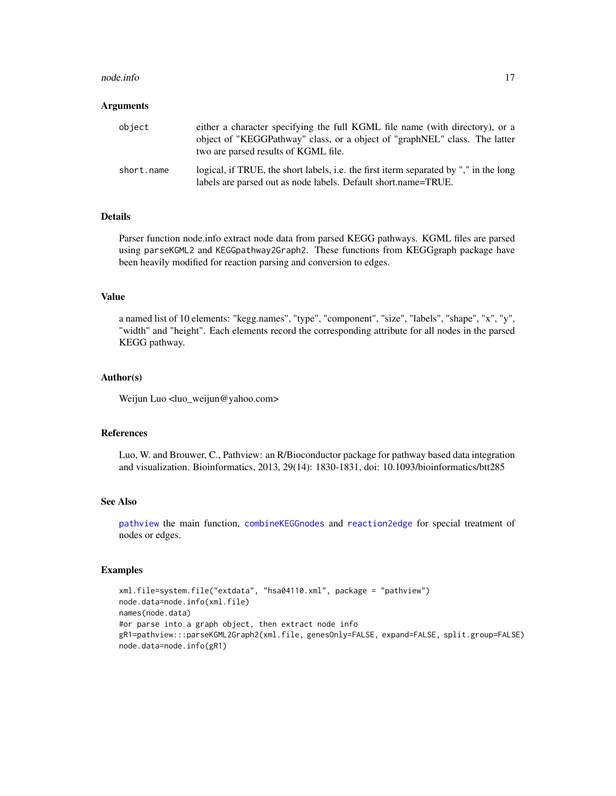#### <span id="page-16-0"></span>node.info 17

#### Arguments

| object     | either a character specifying the full KGML file name (with directory), or a<br>object of "KEGGPathway" class, or a object of "graphNEL" class. The latter<br>two are parsed results of KGML file. |
|------------|----------------------------------------------------------------------------------------------------------------------------------------------------------------------------------------------------|
| short.name | logical, if TRUE, the short labels, i.e. the first iterm separated by "," in the long<br>labels are parsed out as node labels. Default short.name=TRUE.                                            |

#### Details

Parser function node.info extract node data from parsed KEGG pathways. KGML files are parsed using parseKGML2 and KEGGpathway2Graph2. These functions from KEGGgraph package have been heavily modified for reaction parsing and conversion to edges.

#### Value

a named list of 10 elements: "kegg.names", "type", "component", "size", "labels", "shape", "x", "y", "width" and "height". Each elements record the corresponding attribute for all nodes in the parsed KEGG pathway.

#### Author(s)

Weijun Luo <luo\_weijun@yahoo.com>

#### References

Luo, W. and Brouwer, C., Pathview: an R/Bioconductor package for pathway based data integration and visualization. Bioinformatics, 2013, 29(14): 1830-1831, doi: 10.1093/bioinformatics/btt285

#### See Also

[pathview](#page-19-1) the main function, [combineKEGGnodes](#page-2-1) and [reaction2edge](#page-2-2) for special treatment of nodes or edges.

#### Examples

```
xml.file=system.file("extdata", "hsa04110.xml", package = "pathview")
node.data=node.info(xml.file)
names(node.data)
#or parse into a graph object, then extract node info
gR1=pathview:::parseKGML2Graph2(xml.file, genesOnly=FALSE, expand=FALSE, split.group=FALSE)
node.data=node.info(gR1)
```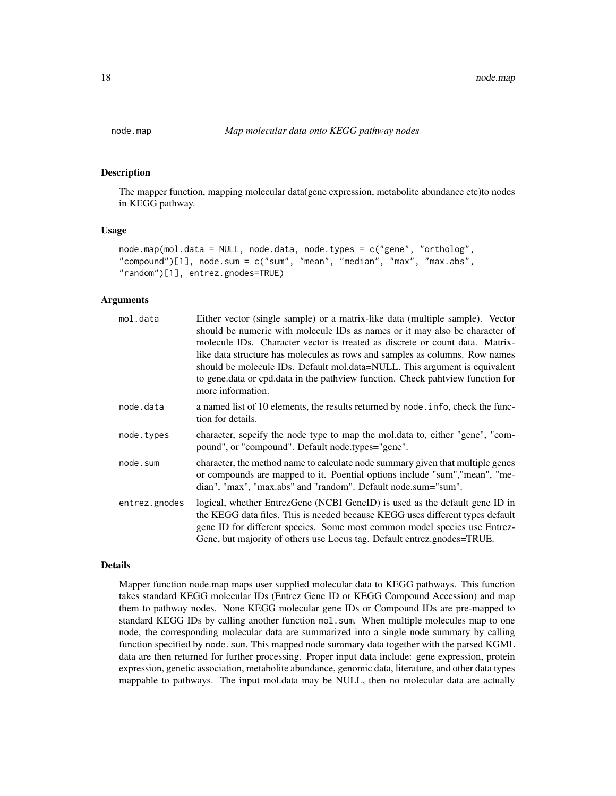#### Description

The mapper function, mapping molecular data(gene expression, metabolite abundance etc)to nodes in KEGG pathway.

#### Usage

```
node.map(mol.data = NULL, node.data, node.types = c("gene", "ortholog",
"compound")[1], node.sum = c("sum", "mean", "median", "max", "max.abs",
"random")[1], entrez.gnodes=TRUE)
```
#### Arguments

| mol.data      | Either vector (single sample) or a matrix-like data (multiple sample). Vector<br>should be numeric with molecule IDs as names or it may also be character of<br>molecule IDs. Character vector is treated as discrete or count data. Matrix-<br>like data structure has molecules as rows and samples as columns. Row names<br>should be molecule IDs. Default mol.data=NULL. This argument is equivalent<br>to gene.data or cpd.data in the pathview function. Check pahtview function for<br>more information. |
|---------------|------------------------------------------------------------------------------------------------------------------------------------------------------------------------------------------------------------------------------------------------------------------------------------------------------------------------------------------------------------------------------------------------------------------------------------------------------------------------------------------------------------------|
| node.data     | a named list of 10 elements, the results returned by node in fo, check the func-<br>tion for details.                                                                                                                                                                                                                                                                                                                                                                                                            |
| node.types    | character, sepcify the node type to map the mol.data to, either "gene", "com-<br>pound", or "compound". Default node.types="gene".                                                                                                                                                                                                                                                                                                                                                                               |
| node.sum      | character, the method name to calculate node summary given that multiple genes<br>or compounds are mapped to it. Poential options include "sum", "mean", "me-<br>dian", "max", "max.abs" and "random". Default node.sum="sum".                                                                                                                                                                                                                                                                                   |
| entrez.gnodes | logical, whether EntrezGene (NCBI GeneID) is used as the default gene ID in<br>the KEGG data files. This is needed because KEGG uses different types default<br>gene ID for different species. Some most common model species use Entrez-<br>Gene, but majority of others use Locus tag. Default entrez.gnodes=TRUE.                                                                                                                                                                                             |

#### Details

Mapper function node.map maps user supplied molecular data to KEGG pathways. This function takes standard KEGG molecular IDs (Entrez Gene ID or KEGG Compound Accession) and map them to pathway nodes. None KEGG molecular gene IDs or Compound IDs are pre-mapped to standard KEGG IDs by calling another function mol.sum. When multiple molecules map to one node, the corresponding molecular data are summarized into a single node summary by calling function specified by node. sum. This mapped node summary data together with the parsed KGML data are then returned for further processing. Proper input data include: gene expression, protein expression, genetic association, metabolite abundance, genomic data, literature, and other data types mappable to pathways. The input mol.data may be NULL, then no molecular data are actually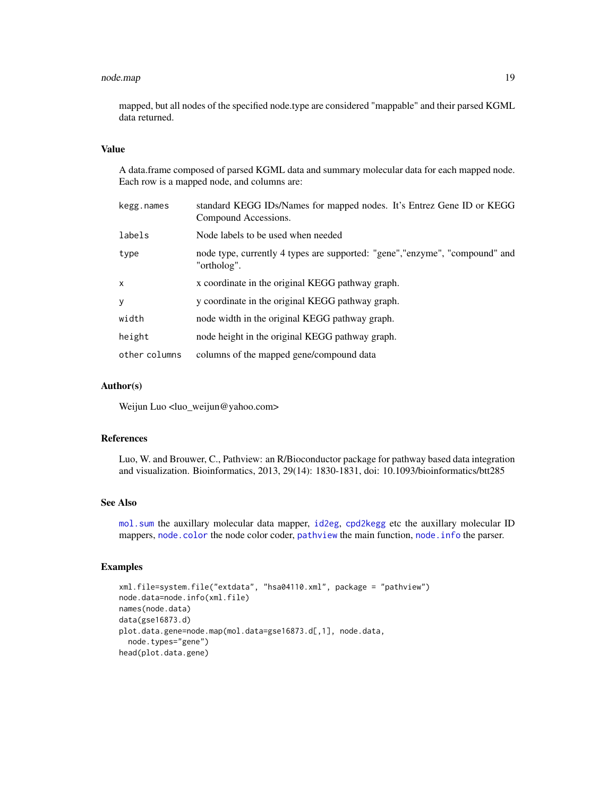#### <span id="page-18-0"></span>node.map 19

mapped, but all nodes of the specified node.type are considered "mappable" and their parsed KGML data returned.

#### Value

A data.frame composed of parsed KGML data and summary molecular data for each mapped node. Each row is a mapped node, and columns are:

| kegg.names    | standard KEGG IDs/Names for mapped nodes. It's Entrez Gene ID or KEGG<br>Compound Accessions. |
|---------------|-----------------------------------------------------------------------------------------------|
| labels        | Node labels to be used when needed                                                            |
| type          | node type, currently 4 types are supported: "gene", "enzyme", "compound" and<br>"ortholog".   |
| $\mathsf{x}$  | x coordinate in the original KEGG pathway graph.                                              |
| y             | y coordinate in the original KEGG pathway graph.                                              |
| width         | node width in the original KEGG pathway graph.                                                |
| height        | node height in the original KEGG pathway graph.                                               |
| other columns | columns of the mapped gene/compound data                                                      |

#### Author(s)

Weijun Luo <luo\_weijun@yahoo.com>

#### References

Luo, W. and Brouwer, C., Pathview: an R/Bioconductor package for pathway based data integration and visualization. Bioinformatics, 2013, 29(14): 1830-1831, doi: 10.1093/bioinformatics/btt285

#### See Also

[mol.sum](#page-11-1) the auxillary molecular data mapper, [id2eg](#page-7-2), [cpd2kegg](#page-4-1) etc the auxillary molecular ID mappers, [node.color](#page-13-1) the node color coder, [pathview](#page-19-1) the main function, [node.info](#page-15-1) the parser.

#### Examples

```
xml.file=system.file("extdata", "hsa04110.xml", package = "pathview")
node.data=node.info(xml.file)
names(node.data)
data(gse16873.d)
plot.data.gene=node.map(mol.data=gse16873.d[,1], node.data,
  node.types="gene")
head(plot.data.gene)
```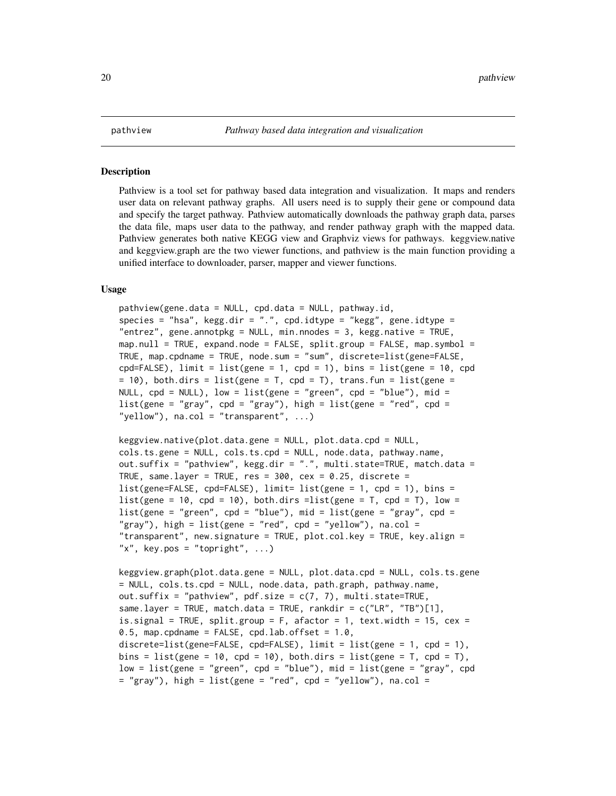#### <span id="page-19-2"></span><span id="page-19-1"></span><span id="page-19-0"></span>Description

Pathview is a tool set for pathway based data integration and visualization. It maps and renders user data on relevant pathway graphs. All users need is to supply their gene or compound data and specify the target pathway. Pathview automatically downloads the pathway graph data, parses the data file, maps user data to the pathway, and render pathway graph with the mapped data. Pathview generates both native KEGG view and Graphviz views for pathways. keggview.native and keggview.graph are the two viewer functions, and pathview is the main function providing a unified interface to downloader, parser, mapper and viewer functions.

#### Usage

```
pathview(gene.data = NULL, cpd.data = NULL, pathway.id,
species = "hsa", kegg.dir = ".", cpd.idtype = "kegg", gene.idtype =
"entrez", gene.annotpkg = NULL, min.nnodes = 3, kegg.native = TRUE,
map.null = TRUE, expand.node = FALSE, split.group = FALSE, map.symbol =
TRUE, map.cpdname = TRUE, node.sum = "sum", discrete=list(gene=FALSE,
cpd=FALSE), limit = list(gene = 1, cpd = 1), bins = list(gene = 10, cpd
= 10), both.dirs = list(gene = T, cpd = T), trans.fun = list(gene =
NULL, cpd = NULL), low = list(gene = "green", cpd = "blue"), mid =
list(gene = "gray", cpd = "gray"), high = list(gene = "red", cpd = ..."yellow"), na.col = "transparent", ...)
```

```
keggview.native(plot.data.gene = NULL, plot.data.cpd = NULL,
cols.ts.gene = NULL, cols.ts.cpd = NULL, node.data, pathway.name,
out.suffix = "pathview", kegg.dir = ".", multi.state=TRUE, match.data =
TRUE, same.layer = TRUE, res = 300, cex = 0.25, discrete =
list(gene=FALSE, cpd=FALSE), limit= list(gene = 1, cpd = 1), bins =
list(gene = 10, cpd = 10), both.dirs =list(gene = T, cpd = T), low =
list(gene = "green", cpd = "blue"), mid = list(gene = "gray", cpd = "old", cpd = "blue")"gray"), high = list(gene = "red", cpd = "yellow"), na.col =
"transparent", new.signature = TRUE, plot.col.key = TRUE, key.align =
"x", key.pos = "topright", ...)
```

```
keggview.graph(plot.data.gene = NULL, plot.data.cpd = NULL, cols.ts.gene
= NULL, cols.ts.cpd = NULL, node.data, path.graph, pathway.name,
out.suffix = "pathview", pdf.size = c(7, 7), multi.state=TRUE,
same.layer = TRUE, match.data = TRUE, rankdir = c("LR", "TB")[1],
is.signal = TRUE, split.group = F, afactor = 1, text.width = 15, cex =
0.5, map.cpdname = FALSE, cpd.lab.offset = 1.0,
discrete=list(gene=FALSE, cpd=FALSE), limit = list(gene = 1, cpd = 1),
bins = list(gene = 10, cpd = 10), both.dirs = list(gene = T, cpd = T),
low = list(gene = "green", cpd = "blue"), mid = list(gene = "gray", cpd= "gray"), high = list(gene = "red", cpd = "yellow"), na.col =
```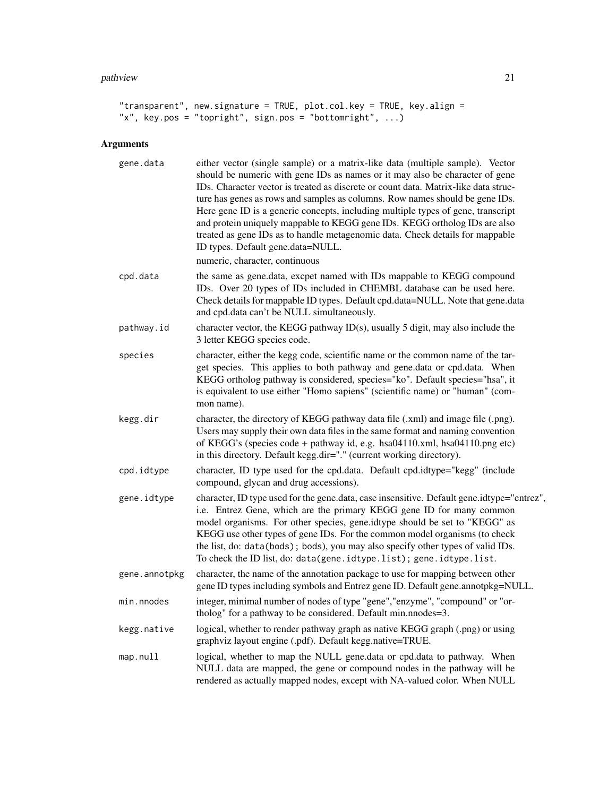#### pathview 21

```
"transparent", new.signature = TRUE, plot.col.key = TRUE, key.align =
"x", key.pos = "topright", sign.pos = "bottomright", ...)
```
### Arguments

| gene.data     | either vector (single sample) or a matrix-like data (multiple sample). Vector<br>should be numeric with gene IDs as names or it may also be character of gene<br>IDs. Character vector is treated as discrete or count data. Matrix-like data struc-<br>ture has genes as rows and samples as columns. Row names should be gene IDs.<br>Here gene ID is a generic concepts, including multiple types of gene, transcript<br>and protein uniquely mappable to KEGG gene IDs. KEGG ortholog IDs are also<br>treated as gene IDs as to handle metagenomic data. Check details for mappable<br>ID types. Default gene.data=NULL.<br>numeric, character, continuous |
|---------------|----------------------------------------------------------------------------------------------------------------------------------------------------------------------------------------------------------------------------------------------------------------------------------------------------------------------------------------------------------------------------------------------------------------------------------------------------------------------------------------------------------------------------------------------------------------------------------------------------------------------------------------------------------------|
| cpd.data      | the same as gene.data, excpet named with IDs mappable to KEGG compound<br>IDs. Over 20 types of IDs included in CHEMBL database can be used here.<br>Check details for mappable ID types. Default cpd.data=NULL. Note that gene.data<br>and cpd.data can't be NULL simultaneously.                                                                                                                                                                                                                                                                                                                                                                             |
| pathway.id    | character vector, the KEGG pathway ID(s), usually 5 digit, may also include the<br>3 letter KEGG species code.                                                                                                                                                                                                                                                                                                                                                                                                                                                                                                                                                 |
| species       | character, either the kegg code, scientific name or the common name of the tar-<br>get species. This applies to both pathway and gene.data or cpd.data. When<br>KEGG ortholog pathway is considered, species="ko". Default species="hsa", it<br>is equivalent to use either "Homo sapiens" (scientific name) or "human" (com-<br>mon name).                                                                                                                                                                                                                                                                                                                    |
| kegg.dir      | character, the directory of KEGG pathway data file (.xml) and image file (.png).<br>Users may supply their own data files in the same format and naming convention<br>of KEGG's (species code + pathway id, e.g. hsa04110.xml, hsa04110.png etc)<br>in this directory. Default kegg.dir="." (current working directory).                                                                                                                                                                                                                                                                                                                                       |
| cpd.idtype    | character, ID type used for the cpd.data. Default cpd.idtype="kegg" (include<br>compound, glycan and drug accessions).                                                                                                                                                                                                                                                                                                                                                                                                                                                                                                                                         |
| gene.idtype   | character, ID type used for the gene.data, case insensitive. Default gene.idtype="entrez",<br>i.e. Entrez Gene, which are the primary KEGG gene ID for many common<br>model organisms. For other species, gene.idtype should be set to "KEGG" as<br>KEGG use other types of gene IDs. For the common model organisms (to check<br>the list, do: data(bods); bods), you may also specify other types of valid IDs.<br>To check the ID list, do: data(gene.idtype.list); gene.idtype.list.                                                                                                                                                                       |
| gene.annotpkg | character, the name of the annotation package to use for mapping between other<br>gene ID types including symbols and Entrez gene ID. Default gene annotpkg=NULL.                                                                                                                                                                                                                                                                                                                                                                                                                                                                                              |
| min.nnodes    | integer, minimal number of nodes of type "gene", "enzyme", "compound" or "or-<br>tholog" for a pathway to be considered. Default min.nnodes=3.                                                                                                                                                                                                                                                                                                                                                                                                                                                                                                                 |
| kegg.native   | logical, whether to render pathway graph as native KEGG graph (.png) or using<br>graphviz layout engine (.pdf). Default kegg.native=TRUE.                                                                                                                                                                                                                                                                                                                                                                                                                                                                                                                      |
| map.null      | logical, whether to map the NULL gene.data or cpd.data to pathway. When<br>NULL data are mapped, the gene or compound nodes in the pathway will be<br>rendered as actually mapped nodes, except with NA-valued color. When NULL                                                                                                                                                                                                                                                                                                                                                                                                                                |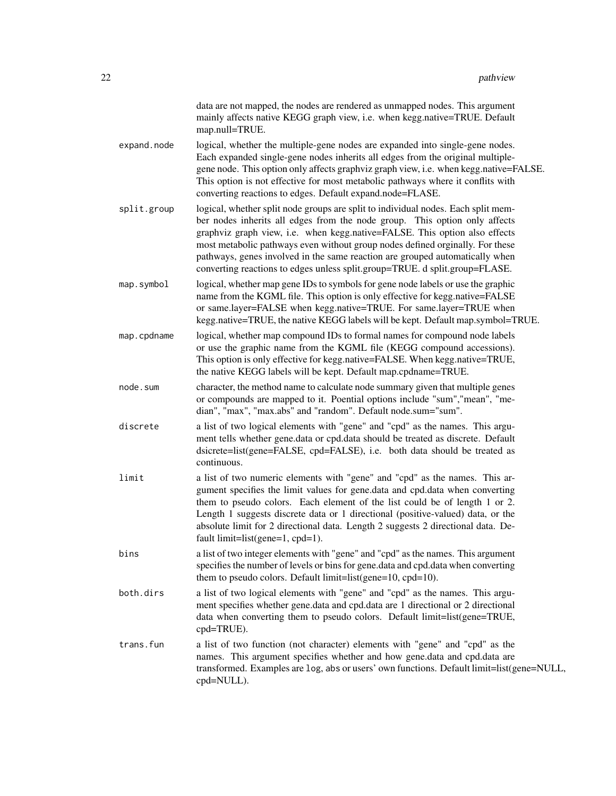|             | data are not mapped, the nodes are rendered as unmapped nodes. This argument<br>mainly affects native KEGG graph view, i.e. when kegg.native=TRUE. Default<br>map.null=TRUE.                                                                                                                                                                                                                                                                                                                  |
|-------------|-----------------------------------------------------------------------------------------------------------------------------------------------------------------------------------------------------------------------------------------------------------------------------------------------------------------------------------------------------------------------------------------------------------------------------------------------------------------------------------------------|
| expand.node | logical, whether the multiple-gene nodes are expanded into single-gene nodes.<br>Each expanded single-gene nodes inherits all edges from the original multiple-<br>gene node. This option only affects graphviz graph view, i.e. when kegg.native=FALSE.<br>This option is not effective for most metabolic pathways where it conflits with<br>converting reactions to edges. Default expand.node=FLASE.                                                                                      |
| split.group | logical, whether split node groups are split to individual nodes. Each split mem-<br>ber nodes inherits all edges from the node group. This option only affects<br>graphviz graph view, i.e. when kegg.native=FALSE. This option also effects<br>most metabolic pathways even without group nodes defined orginally. For these<br>pathways, genes involved in the same reaction are grouped automatically when<br>converting reactions to edges unless split.group=TRUE. d split.group=FLASE. |
| map.symbol  | logical, whether map gene IDs to symbols for gene node labels or use the graphic<br>name from the KGML file. This option is only effective for kegg.native=FALSE<br>or same.layer=FALSE when kegg.native=TRUE. For same.layer=TRUE when<br>kegg.native=TRUE, the native KEGG labels will be kept. Default map.symbol=TRUE.                                                                                                                                                                    |
| map.cpdname | logical, whether map compound IDs to formal names for compound node labels<br>or use the graphic name from the KGML file (KEGG compound accessions).<br>This option is only effective for kegg.native=FALSE. When kegg.native=TRUE,<br>the native KEGG labels will be kept. Default map.cpdname=TRUE.                                                                                                                                                                                         |
| node.sum    | character, the method name to calculate node summary given that multiple genes<br>or compounds are mapped to it. Poential options include "sum", "mean", "me-<br>dian", "max", "max.abs" and "random". Default node.sum="sum".                                                                                                                                                                                                                                                                |
| discrete    | a list of two logical elements with "gene" and "cpd" as the names. This argu-<br>ment tells whether gene.data or cpd.data should be treated as discrete. Default<br>dsicrete=list(gene=FALSE, cpd=FALSE), i.e. both data should be treated as<br>continuous.                                                                                                                                                                                                                                  |
| limit       | a list of two numeric elements with "gene" and "cpd" as the names. This ar-<br>gument specifies the limit values for gene.data and cpd.data when converting<br>them to pseudo colors. Each element of the list could be of length 1 or 2.<br>Length 1 suggests discrete data or 1 directional (positive-valued) data, or the<br>absolute limit for 2 directional data. Length 2 suggests 2 directional data. De-<br>fault limit=list(gene=1, cpd=1).                                          |
| bins        | a list of two integer elements with "gene" and "cpd" as the names. This argument<br>specifies the number of levels or bins for gene.data and cpd.data when converting<br>them to pseudo colors. Default limit=list(gene=10, cpd=10).                                                                                                                                                                                                                                                          |
| both.dirs   | a list of two logical elements with "gene" and "cpd" as the names. This argu-<br>ment specifies whether gene.data and cpd.data are 1 directional or 2 directional<br>data when converting them to pseudo colors. Default limit=list(gene=TRUE,<br>cpd=TRUE).                                                                                                                                                                                                                                  |
| trans.fun   | a list of two function (not character) elements with "gene" and "cpd" as the<br>names. This argument specifies whether and how gene.data and cpd.data are<br>transformed. Examples are log, abs or users' own functions. Default limit=list(gene=NULL,<br>cpd=NULL).                                                                                                                                                                                                                          |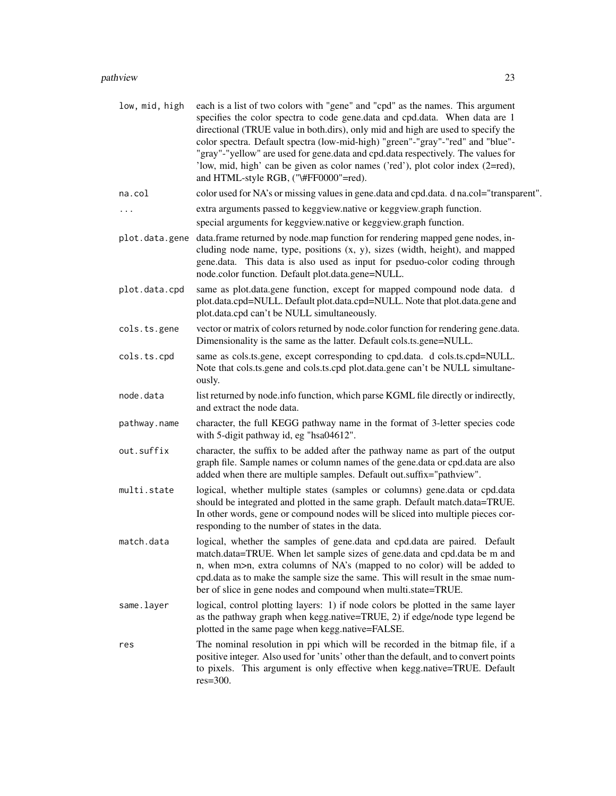| low, mid, high | each is a list of two colors with "gene" and "cpd" as the names. This argument<br>specifies the color spectra to code gene.data and cpd.data. When data are 1<br>directional (TRUE value in both.dirs), only mid and high are used to specify the<br>color spectra. Default spectra (low-mid-high) "green"-"gray"-"red" and "blue"-<br>"gray"-"yellow" are used for gene.data and cpd.data respectively. The values for<br>'low, mid, high' can be given as color names ('red'), plot color index (2=red),<br>and HTML-style RGB, ("\#FF0000"=red). |
|----------------|-----------------------------------------------------------------------------------------------------------------------------------------------------------------------------------------------------------------------------------------------------------------------------------------------------------------------------------------------------------------------------------------------------------------------------------------------------------------------------------------------------------------------------------------------------|
| na.col         | color used for NA's or missing values in gene.data and cpd.data. d na.col="transparent".                                                                                                                                                                                                                                                                                                                                                                                                                                                            |
| .              | extra arguments passed to keggview.native or keggview.graph function.                                                                                                                                                                                                                                                                                                                                                                                                                                                                               |
|                | special arguments for keggview.native or keggview.graph function.                                                                                                                                                                                                                                                                                                                                                                                                                                                                                   |
|                | plot.data.gene data.frame returned by node.map function for rendering mapped gene nodes, in-<br>cluding node name, type, positions $(x, y)$ , sizes (width, height), and mapped<br>gene.data. This data is also used as input for pseduo-color coding through<br>node.color function. Default plot.data.gene=NULL.                                                                                                                                                                                                                                  |
| plot.data.cpd  | same as plot.data.gene function, except for mapped compound node data. d<br>plot.data.cpd=NULL. Default plot.data.cpd=NULL. Note that plot.data.gene and<br>plot.data.cpd can't be NULL simultaneously.                                                                                                                                                                                                                                                                                                                                             |
| cols.ts.gene   | vector or matrix of colors returned by node.color function for rendering gene.data.<br>Dimensionality is the same as the latter. Default cols.ts.gene=NULL.                                                                                                                                                                                                                                                                                                                                                                                         |
| cols.ts.cpd    | same as cols.ts.gene, except corresponding to cpd.data. d cols.ts.cpd=NULL.<br>Note that cols.ts.gene and cols.ts.cpd plot.data.gene can't be NULL simultane-<br>ously.                                                                                                                                                                                                                                                                                                                                                                             |
| node.data      | list returned by node.info function, which parse KGML file directly or indirectly,<br>and extract the node data.                                                                                                                                                                                                                                                                                                                                                                                                                                    |
| pathway.name   | character, the full KEGG pathway name in the format of 3-letter species code<br>with 5-digit pathway id, eg "hsa04612".                                                                                                                                                                                                                                                                                                                                                                                                                             |
| out.suffix     | character, the suffix to be added after the pathway name as part of the output<br>graph file. Sample names or column names of the gene.data or cpd.data are also<br>added when there are multiple samples. Default out.suffix="pathview".                                                                                                                                                                                                                                                                                                           |
| multi.state    | logical, whether multiple states (samples or columns) gene.data or cpd.data<br>should be integrated and plotted in the same graph. Default match.data=TRUE.<br>In other words, gene or compound nodes will be sliced into multiple pieces cor-<br>responding to the number of states in the data.                                                                                                                                                                                                                                                   |
| match.data     | logical, whether the samples of gene.data and cpd.data are paired. Default<br>match.data=TRUE. When let sample sizes of gene.data and cpd.data be m and<br>n, when m>n, extra columns of NA's (mapped to no color) will be added to<br>cpd.data as to make the sample size the same. This will result in the smae num-<br>ber of slice in gene nodes and compound when multi.state=TRUE.                                                                                                                                                            |
| same.layer     | logical, control plotting layers: 1) if node colors be plotted in the same layer<br>as the pathway graph when kegg.native=TRUE, 2) if edge/node type legend be<br>plotted in the same page when kegg.native=FALSE.                                                                                                                                                                                                                                                                                                                                  |
| res            | The nominal resolution in ppi which will be recorded in the bitmap file, if a<br>positive integer. Also used for 'units' other than the default, and to convert points<br>to pixels. This argument is only effective when kegg.native=TRUE. Default<br>$res=300$ .                                                                                                                                                                                                                                                                                  |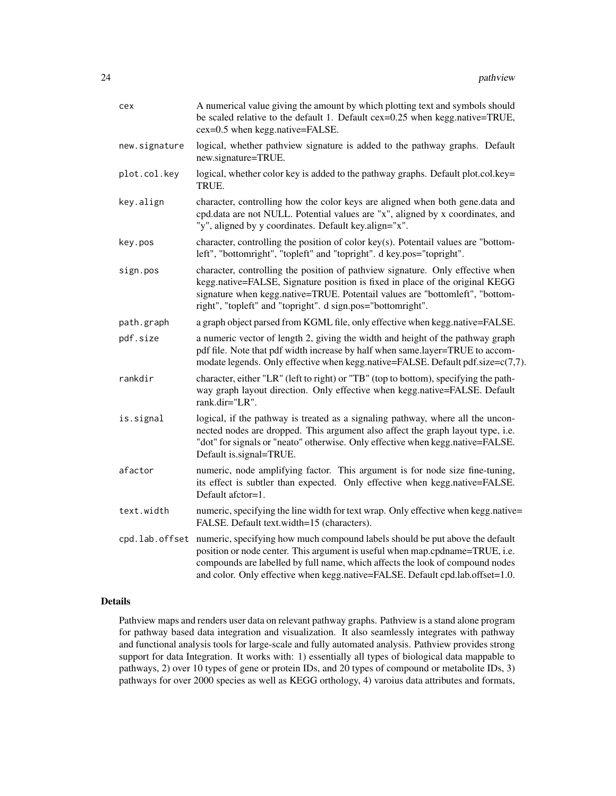| cex            | A numerical value giving the amount by which plotting text and symbols should<br>be scaled relative to the default 1. Default cex=0.25 when kegg.native=TRUE,<br>cex=0.5 when kegg.native=FALSE.                                                                                                                               |
|----------------|--------------------------------------------------------------------------------------------------------------------------------------------------------------------------------------------------------------------------------------------------------------------------------------------------------------------------------|
| new.signature  | logical, whether pathview signature is added to the pathway graphs. Default<br>new.signature=TRUE.                                                                                                                                                                                                                             |
| plot.col.key   | logical, whether color key is added to the pathway graphs. Default plot.col.key=<br>TRUE.                                                                                                                                                                                                                                      |
| key.align      | character, controlling how the color keys are aligned when both gene.data and<br>cpd.data are not NULL. Potential values are "x", aligned by x coordinates, and<br>"y", aligned by y coordinates. Default key.align="x".                                                                                                       |
| key.pos        | character, controlling the position of color key(s). Potentail values are "bottom-<br>left", "bottomright", "topleft" and "topright". d key.pos="topright".                                                                                                                                                                    |
| sign.pos       | character, controlling the position of pathview signature. Only effective when<br>kegg.native=FALSE, Signature position is fixed in place of the original KEGG<br>signature when kegg.native=TRUE. Potentail values are "bottomleft", "bottom-<br>right", "topleft" and "topright". d sign.pos="bottomright".                  |
| path.graph     | a graph object parsed from KGML file, only effective when kegg.native=FALSE.                                                                                                                                                                                                                                                   |
| pdf.size       | a numeric vector of length 2, giving the width and height of the pathway graph<br>pdf file. Note that pdf width increase by half when same.layer=TRUE to accom-<br>modate legends. Only effective when kegg.native=FALSE. Default pdf.size=c(7,7).                                                                             |
| rankdir        | character, either "LR" (left to right) or "TB" (top to bottom), specifying the path-<br>way graph layout direction. Only effective when kegg.native=FALSE. Default<br>rank.dir="LR".                                                                                                                                           |
| is.signal      | logical, if the pathway is treated as a signaling pathway, where all the uncon-<br>nected nodes are dropped. This argument also affect the graph layout type, i.e.<br>"dot" for signals or "neato" otherwise. Only effective when kegg.native=FALSE.<br>Default is signal=TRUE.                                                |
| afactor        | numeric, node amplifying factor. This argument is for node size fine-tuning,<br>its effect is subtler than expected. Only effective when kegg.native=FALSE.<br>Default afctor=1.                                                                                                                                               |
| text.width     | numeric, specifying the line width for text wrap. Only effective when kegg.native=<br>FALSE. Default text.width=15 (characters).                                                                                                                                                                                               |
| cpd.lab.offset | numeric, specifying how much compound labels should be put above the default<br>position or node center. This argument is useful when map.cpdname=TRUE, i.e.<br>compounds are labelled by full name, which affects the look of compound nodes<br>and color. Only effective when kegg.native=FALSE. Default cpd.lab.offset=1.0. |

#### Details

Pathview maps and renders user data on relevant pathway graphs. Pathview is a stand alone program for pathway based data integration and visualization. It also seamlessly integrates with pathway and functional analysis tools for large-scale and fully automated analysis. Pathview provides strong support for data Integration. It works with: 1) essentially all types of biological data mappable to pathways, 2) over 10 types of gene or protein IDs, and 20 types of compound or metabolite IDs, 3) pathways for over 2000 species as well as KEGG orthology, 4) varoius data attributes and formats,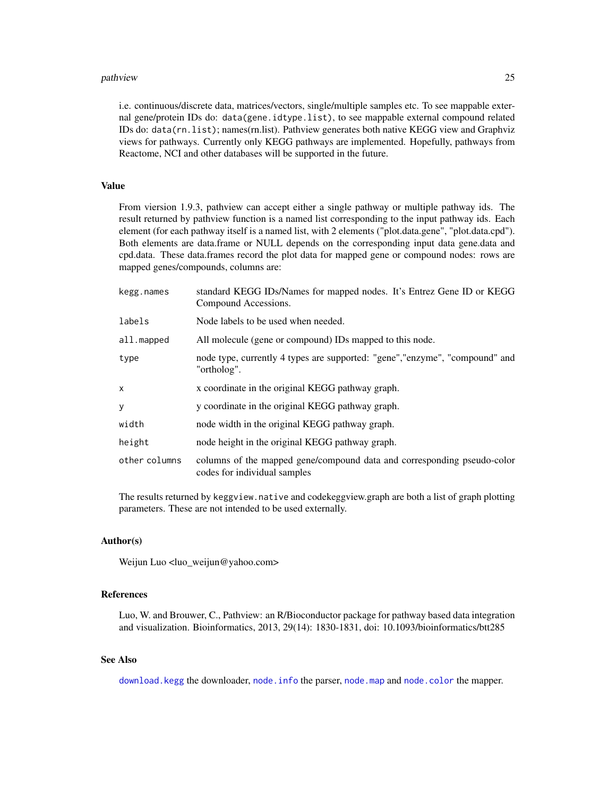#### <span id="page-24-0"></span>pathview 25

i.e. continuous/discrete data, matrices/vectors, single/multiple samples etc. To see mappable external gene/protein IDs do: data(gene.idtype.list), to see mappable external compound related IDs do: data(rn.list); names(rn.list). Pathview generates both native KEGG view and Graphviz views for pathways. Currently only KEGG pathways are implemented. Hopefully, pathways from Reactome, NCI and other databases will be supported in the future.

#### Value

From viersion 1.9.3, pathview can accept either a single pathway or multiple pathway ids. The result returned by pathview function is a named list corresponding to the input pathway ids. Each element (for each pathway itself is a named list, with 2 elements ("plot.data.gene", "plot.data.cpd"). Both elements are data.frame or NULL depends on the corresponding input data gene.data and cpd.data. These data.frames record the plot data for mapped gene or compound nodes: rows are mapped genes/compounds, columns are:

| kegg.names    | standard KEGG IDs/Names for mapped nodes. It's Entrez Gene ID or KEGG<br>Compound Accessions.           |
|---------------|---------------------------------------------------------------------------------------------------------|
| labels        | Node labels to be used when needed.                                                                     |
| all.mapped    | All molecule (gene or compound) IDs mapped to this node.                                                |
| type          | node type, currently 4 types are supported: "gene", "enzyme", "compound" and<br>"ortholog".             |
| X             | x coordinate in the original KEGG pathway graph.                                                        |
| y             | y coordinate in the original KEGG pathway graph.                                                        |
| width         | node width in the original KEGG pathway graph.                                                          |
| height        | node height in the original KEGG pathway graph.                                                         |
| other columns | columns of the mapped gene/compound data and corresponding pseudo-color<br>codes for individual samples |
|               |                                                                                                         |

The results returned by keggview.native and codekeggview.graph are both a list of graph plotting parameters. These are not intended to be used externally.

#### Author(s)

Weijun Luo <luo\_weijun@yahoo.com>

#### References

Luo, W. and Brouwer, C., Pathview: an R/Bioconductor package for pathway based data integration and visualization. Bioinformatics, 2013, 29(14): 1830-1831, doi: 10.1093/bioinformatics/btt285

#### See Also

[download.kegg](#page-6-1) the downloader, [node.info](#page-15-1) the parser, [node.map](#page-17-1) and [node.color](#page-13-1) the mapper.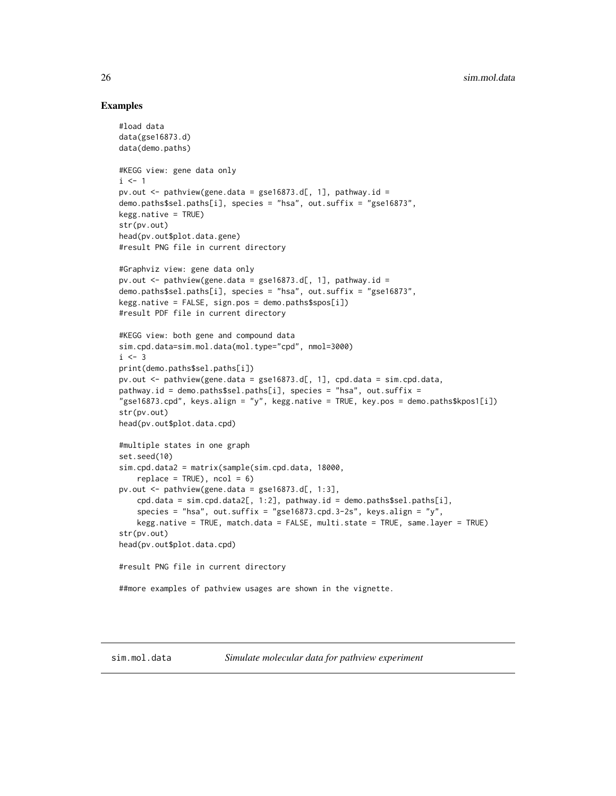#### Examples

```
#load data
data(gse16873.d)
data(demo.paths)
#KEGG view: gene data only
i \leq 1pv.out \leq pathview(gene.data = gse16873.d[, 1], pathway.id =
demo.paths$sel.paths[i], species = "hsa", out.suffix = "gse16873",
kegg.native = TRUE)
str(pv.out)
head(pv.out$plot.data.gene)
#result PNG file in current directory
#Graphviz view: gene data only
pv.out \leq pathview(gene.data = gse16873.d[, 1], pathway.id =
demo.paths$sel.paths[i], species = "hsa", out.suffix = "gse16873",
kegg.native = FALSE, sign.pos = demo.paths$spos[i])
#result PDF file in current directory
#KEGG view: both gene and compound data
sim.cpd.data=sim.mol.data(mol.type="cpd", nmol=3000)
i \leq -3print(demo.paths$sel.paths[i])
pv.out <- pathview(gene.data = gse16873.d[, 1], cpd.data = sim.cpd.data,
pathway.id = demo.paths$sel.paths[i], species = "hsa", out.suffix =
"gse16873.cpd", keys.align = "y", kegg.native = TRUE, key.pos = demo.paths$kpos1[i])
str(pv.out)
head(pv.out$plot.data.cpd)
#multiple states in one graph
set.seed(10)
sim.cpd.data2 = matrix(sample(sim.cpd.data, 18000,
    replace = TRUE), ncol = 6)
pv.out \leq pathview(gene.data = gse16873.d[, 1:3],
    cpd.data = sim.cpd.data2[, 1:2], pathway.id = demo.paths$sel.path5[i],species = "hsa", out.suffix = "gse16873.cpd.3-2s", keys.align = "y",
    kegg.native = TRUE, match.data = FALSE, multi.state = TRUE, same.layer = TRUE)
str(pv.out)
head(pv.out$plot.data.cpd)
#result PNG file in current directory
##more examples of pathview usages are shown in the vignette.
```
<span id="page-25-0"></span>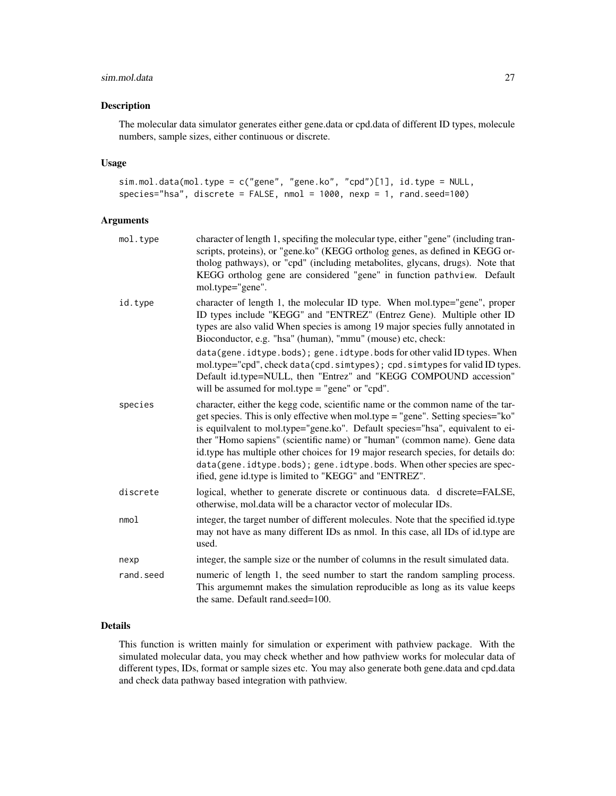#### sim.mol.data 27

#### Description

The molecular data simulator generates either gene.data or cpd.data of different ID types, molecule numbers, sample sizes, either continuous or discrete.

#### Usage

```
sim.mol.data(mol.type = c("gene", "gene.ko", "cpd")[1], id.type = NULL,
species="hsa", discrete = FALSE, nmol = 1000, nexp = 1, rand.seed=100)
```
#### Arguments

| mol.type  | character of length 1, specifing the molecular type, either "gene" (including tran-<br>scripts, proteins), or "gene.ko" (KEGG ortholog genes, as defined in KEGG or-<br>tholog pathways), or "cpd" (including metabolites, glycans, drugs). Note that<br>KEGG ortholog gene are considered "gene" in function pathview. Default<br>mol.type="gene".                                                                                                                                                                                                             |
|-----------|-----------------------------------------------------------------------------------------------------------------------------------------------------------------------------------------------------------------------------------------------------------------------------------------------------------------------------------------------------------------------------------------------------------------------------------------------------------------------------------------------------------------------------------------------------------------|
| id.type   | character of length 1, the molecular ID type. When mol.type="gene", proper<br>ID types include "KEGG" and "ENTREZ" (Entrez Gene). Multiple other ID<br>types are also valid When species is among 19 major species fully annotated in<br>Bioconductor, e.g. "hsa" (human), "mmu" (mouse) etc, check:                                                                                                                                                                                                                                                            |
|           | data(gene.idtype.bods); gene.idtype.bods for other valid ID types. When<br>mol.type="cpd", check data(cpd.simtypes); cpd.simtypes for valid ID types.<br>Default id.type=NULL, then "Entrez" and "KEGG COMPOUND accession"<br>will be assumed for mol.type $=$ "gene" or "cpd".                                                                                                                                                                                                                                                                                 |
| species   | character, either the kegg code, scientific name or the common name of the tar-<br>get species. This is only effective when mol.type = "gene". Setting species=" $ko$ "<br>is equilvalent to mol.type="gene.ko". Default species="hsa", equivalent to ei-<br>ther "Homo sapiens" (scientific name) or "human" (common name). Gene data<br>id.type has multiple other choices for 19 major research species, for details do:<br>data(gene.idtype.bods); gene.idtype.bods. When other species are spec-<br>ified, gene id.type is limited to "KEGG" and "ENTREZ". |
| discrete  | logical, whether to generate discrete or continuous data. d discrete=FALSE,<br>otherwise, mol.data will be a charactor vector of molecular IDs.                                                                                                                                                                                                                                                                                                                                                                                                                 |
| nmod      | integer, the target number of different molecules. Note that the specified id.type<br>may not have as many different IDs as nmol. In this case, all IDs of id.type are<br>used.                                                                                                                                                                                                                                                                                                                                                                                 |
| nexp      | integer, the sample size or the number of columns in the result simulated data.                                                                                                                                                                                                                                                                                                                                                                                                                                                                                 |
| rand.seed | numeric of length 1, the seed number to start the random sampling process.<br>This argumemnt makes the simulation reproducible as long as its value keeps<br>the same. Default rand.seed=100.                                                                                                                                                                                                                                                                                                                                                                   |
|           |                                                                                                                                                                                                                                                                                                                                                                                                                                                                                                                                                                 |

### Details

This function is written mainly for simulation or experiment with pathview package. With the simulated molecular data, you may check whether and how pathview works for molecular data of different types, IDs, format or sample sizes etc. You may also generate both gene.data and cpd.data and check data pathway based integration with pathview.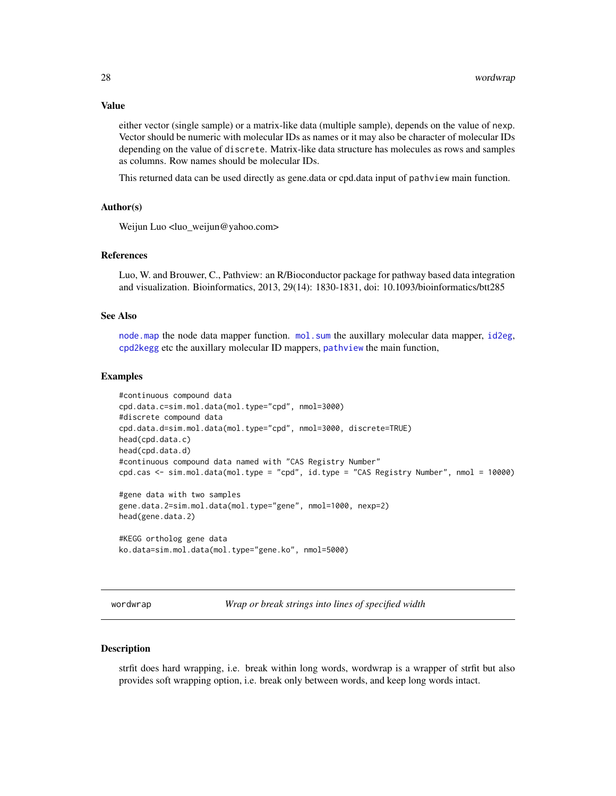#### Value

either vector (single sample) or a matrix-like data (multiple sample), depends on the value of nexp. Vector should be numeric with molecular IDs as names or it may also be character of molecular IDs depending on the value of discrete. Matrix-like data structure has molecules as rows and samples as columns. Row names should be molecular IDs.

This returned data can be used directly as gene.data or cpd.data input of pathview main function.

#### Author(s)

Weijun Luo <luo\_weijun@yahoo.com>

#### References

Luo, W. and Brouwer, C., Pathview: an R/Bioconductor package for pathway based data integration and visualization. Bioinformatics, 2013, 29(14): 1830-1831, doi: 10.1093/bioinformatics/btt285

#### See Also

[node.map](#page-17-1) the node data mapper function. [mol.sum](#page-11-1) the auxillary molecular data mapper, [id2eg](#page-7-2), [cpd2kegg](#page-4-1) etc the auxillary molecular ID mappers, [pathview](#page-19-1) the main function,

#### Examples

```
#continuous compound data
cpd.data.c=sim.mol.data(mol.type="cpd", nmol=3000)
#discrete compound data
cpd.data.d=sim.mol.data(mol.type="cpd", nmol=3000, discrete=TRUE)
head(cpd.data.c)
head(cpd.data.d)
#continuous compound data named with "CAS Registry Number"
cpd.cas <- sim.mol.data(mol.type = "cpd", id.type = "CAS Registry Number", nmol = 10000)
#gene data with two samples
gene.data.2=sim.mol.data(mol.type="gene", nmol=1000, nexp=2)
head(gene.data.2)
#KEGG ortholog gene data
```

```
ko.data=sim.mol.data(mol.type="gene.ko", nmol=5000)
```
wordwrap *Wrap or break strings into lines of specified width*

#### **Description**

strfit does hard wrapping, i.e. break within long words, wordwrap is a wrapper of strfit but also provides soft wrapping option, i.e. break only between words, and keep long words intact.

<span id="page-27-0"></span>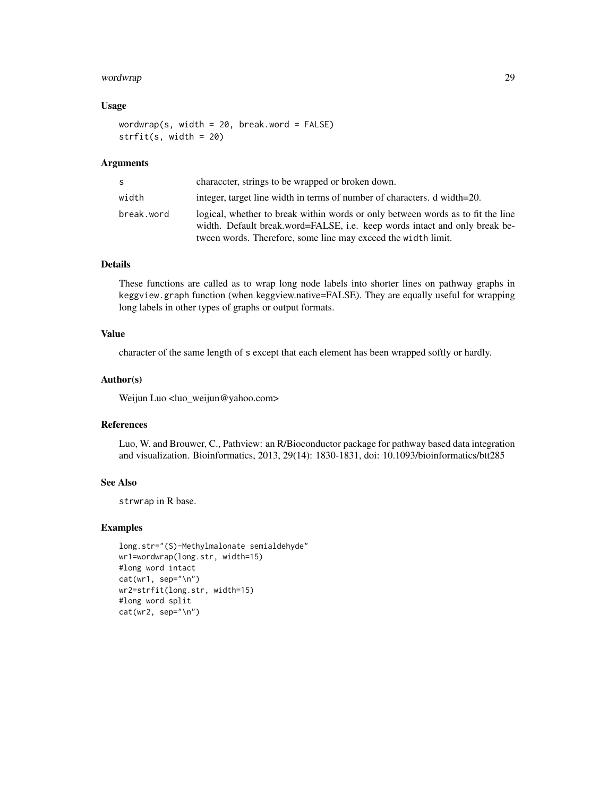#### wordwrap 29

#### Usage

wordwrap(s, width =  $20$ , break.word =  $FALSE$ ) strfit(s, width = 20)

#### Arguments

| S          | character, strings to be wrapped or broken down.                                                                                                                                                                               |
|------------|--------------------------------------------------------------------------------------------------------------------------------------------------------------------------------------------------------------------------------|
| width      | integer, target line width in terms of number of characters. d width=20.                                                                                                                                                       |
| break.word | logical, whether to break within words or only between words as to fit the line<br>width. Default break.word=FALSE, i.e. keep words intact and only break be-<br>tween words. Therefore, some line may exceed the width limit. |

#### Details

These functions are called as to wrap long node labels into shorter lines on pathway graphs in keggview.graph function (when keggview.native=FALSE). They are equally useful for wrapping long labels in other types of graphs or output formats.

#### Value

character of the same length of s except that each element has been wrapped softly or hardly.

#### Author(s)

Weijun Luo <luo\_weijun@yahoo.com>

#### References

Luo, W. and Brouwer, C., Pathview: an R/Bioconductor package for pathway based data integration and visualization. Bioinformatics, 2013, 29(14): 1830-1831, doi: 10.1093/bioinformatics/btt285

#### See Also

strwrap in R base.

#### Examples

```
long.str="(S)-Methylmalonate semialdehyde"
wr1=wordwrap(long.str, width=15)
#long word intact
cat(wr1, sep="\n")
wr2=strfit(long.str, width=15)
#long word split
cat(wr2, sep="\n")
```